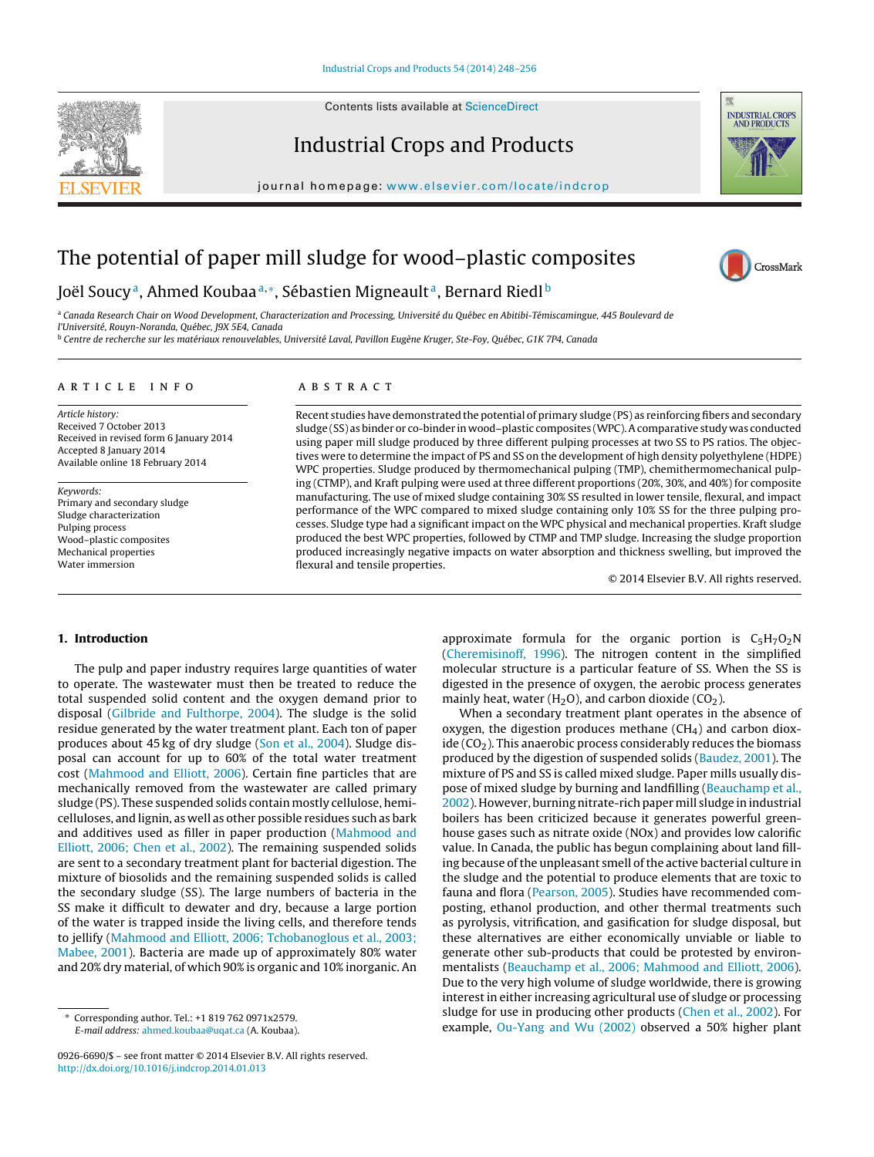Contents lists available at [ScienceDirect](http://www.sciencedirect.com/science/journal/09266690)





## Industrial Crops and Products

iournal homepage: [www.elsevier.com/locate/indcrop](http://www.elsevier.com/locate/indcrop)

# The potential of paper mill sludge for wood–plastic composites



Joël Soucy<sup>a</sup>, Ahmed Koubaa<sup>a,∗</sup>, Sébastien Migneault<sup>a</sup>, Bernard Riedl<sup>b</sup> <sup>a</sup> Canada Research Chair on Wood Development, Characterization and Processing, Université du Québec en Abitibi-Témiscamingue, 445 Boulevard de

l'Université, Rouyn-Noranda, Québec, J9X 5E4, Canada <sup>b</sup> Centre de recherche sur les matériaux renouvelables, Université Laval, Pavillon Eugène Kruger, Ste-Foy, Québec, G1K 7P4, Canada

## a r t i c l e i n f o

Article history: Received 7 October 2013 Received in revised form 6 January 2014 Accepted 8 January 2014 Available online 18 February 2014

Keywords: Primary and secondary sludge Sludge characterization Pulping process Wood–plastic composites Mechanical properties Water immersion

## A B S T R A C T

Recent studies have demonstrated the potential of primary sludge (PS) as reinforcing fibers and secondary sludge (SS) as binder or co-binder in wood-plastic composites (WPC). A comparative study was conducted using paper mill sludge produced by three different pulping processes at two SS to PS ratios. The objectives were to determine the impact of PS and SS on the development of high density polyethylene (HDPE) WPC properties. Sludge produced by thermomechanical pulping (TMP), chemithermomechanical pulping (CTMP), and Kraft pulping were used at three different proportions (20%, 30%, and 40%) for composite manufacturing. The use of mixed sludge containing 30% SS resulted in lower tensile, flexural, and impact performance of the WPC compared to mixed sludge containing only 10% SS for the three pulping processes. Sludge type had a significant impact on the WPC physical and mechanical properties. Kraft sludge produced the best WPC properties, followed by CTMP and TMP sludge. Increasing the sludge proportion produced increasingly negative impacts on water absorption and thickness swelling, but improved the flexural and tensile properties.

© 2014 Elsevier B.V. All rights reserved.

## **1. Introduction**

The pulp and paper industry requires large quantities of water to operate. The wastewater must then be treated to reduce the total suspended solid content and the oxygen demand prior to disposal ([Gilbride](#page-7-0) [and](#page-7-0) [Fulthorpe,](#page-7-0) [2004\).](#page-7-0) The sludge is the solid residue generated by the water treatment plant. Each ton of paper produces about 45 kg of dry sludge [\(Son](#page-8-0) et [al.,](#page-8-0) [2004\).](#page-8-0) Sludge disposal can account for up to 60% of the total water treatment cost ([Mahmood](#page-7-0) [and](#page-7-0) [Elliott,](#page-7-0) [2006\).](#page-7-0) Certain fine particles that are mechanically removed from the wastewater are called primary sludge (PS). These suspended solids contain mostly cellulose, hemicelluloses, and lignin, as well as other possible residues such as bark and additives used as filler in paper production ([Mahmood](#page-7-0) [and](#page-7-0) [Elliott,](#page-7-0) [2006;](#page-7-0) [Chen](#page-7-0) et [al.,](#page-7-0) [2002\).](#page-7-0) The remaining suspended solids are sent to a secondary treatment plant for bacterial digestion. The mixture of biosolids and the remaining suspended solids is called the secondary sludge (SS). The large numbers of bacteria in the SS make it difficult to dewater and dry, because a large portion of the water is trapped inside the living cells, and therefore tends to jellify [\(Mahmood](#page-7-0) [and](#page-7-0) [Elliott,](#page-7-0) [2006;](#page-7-0) [Tchobanoglous](#page-7-0) et [al.,](#page-7-0) [2003;](#page-7-0) [Mabee,](#page-7-0) [2001\).](#page-7-0) Bacteria are made up of approximately 80% water and 20% dry material, of which 90% is organic and 10% inorganic. An approximate formula for the organic portion is  $C_5H_7O_2N$ [\(Cheremisinoff,](#page-7-0) [1996\).](#page-7-0) The nitrogen content in the simplified molecular structure is a particular feature of SS. When the SS is digested in the presence of oxygen, the aerobic process generates mainly heat, water ( $H_2O$ ), and carbon dioxide ( $CO_2$ ).

When a secondary treatment plant operates in the absence of oxygen, the digestion produces methane  $(CH<sub>4</sub>)$  and carbon diox $ide (CO<sub>2</sub>)$ . This anaerobic process considerably reduces the biomass produced by the digestion of suspended solids [\(Baudez,](#page-7-0) [2001\).](#page-7-0) The mixture of PS and SS is called mixed sludge. Paper mills usually dispose of mixed sludge by burning and landfilling [\(Beauchamp](#page-7-0) et [al.,](#page-7-0) [2002\).](#page-7-0) However, burning nitrate-rich papermill sludge in industrial boilers has been criticized because it generates powerful greenhouse gases such as nitrate oxide (NOx) and provides low calorific value. In Canada, the public has begun complaining about land filling because of the unpleasant smell of the active bacterial culture in the sludge and the potential to produce elements that are toxic to fauna and flora [\(Pearson,](#page-7-0) [2005\).](#page-7-0) Studies have recommended composting, ethanol production, and other thermal treatments such as pyrolysis, vitrification, and gasification for sludge disposal, but these alternatives are either economically unviable or liable to generate other sub-products that could be protested by environmentalists [\(Beauchamp](#page-7-0) et [al.,](#page-7-0) [2006;](#page-7-0) [Mahmood](#page-7-0) [and](#page-7-0) [Elliott,](#page-7-0) [2006\).](#page-7-0) Due to the very high volume of sludge worldwide, there is growing interest in either increasing agricultural use of sludge or processing sludge for use in producing other products ([Chen](#page-7-0) et [al.,](#page-7-0) [2002\).](#page-7-0) For example, [Ou-Yang](#page-7-0) [and](#page-7-0) [Wu](#page-7-0) [\(2002\)](#page-7-0) observed a 50% higher plant

<sup>∗</sup> Corresponding author. Tel.: +1 819 762 0971x2579. E-mail address: [ahmed.koubaa@uqat.ca](mailto:ahmed.koubaa@uqat.ca) (A. Koubaa).

<sup>0926-6690/\$</sup> – see front matter © 2014 Elsevier B.V. All rights reserved. [http://dx.doi.org/10.1016/j.indcrop.2014.01.013](dx.doi.org/10.1016/j.indcrop.2014.01.013)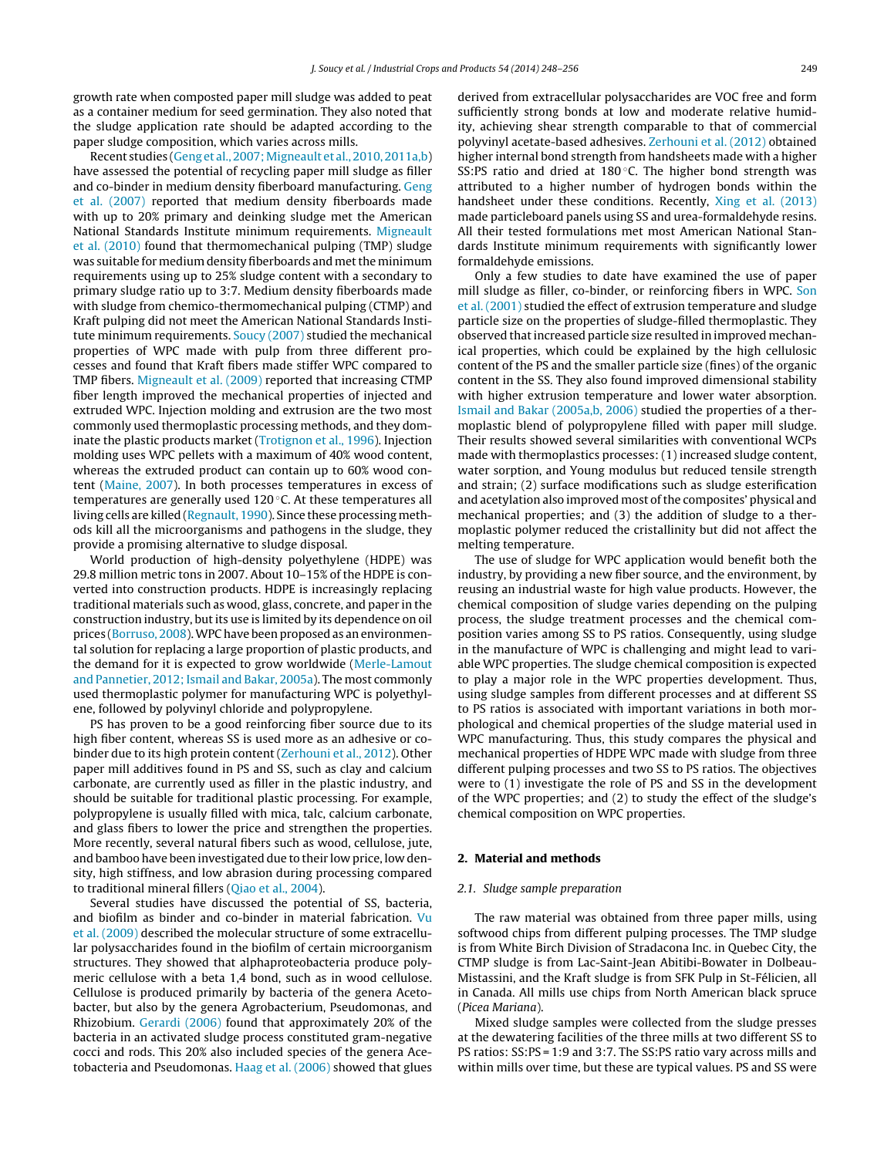growth rate when composted paper mill sludge was added to peat as a container medium for seed germination. They also noted that the sludge application rate should be adapted according to the paper sludge composition, which varies across mills.

Recent studies [\(Geng](#page-7-0) et [al.,](#page-7-0) 2007; Migneault et al., [2010,](#page-7-0) [2011a,b\)](#page-7-0) have assessed the potential of recycling paper mill sludge as filler and co-binder in medium density fiberboard manufacturing. [Geng](#page-7-0) et [al.](#page-7-0) [\(2007\)](#page-7-0) reported that medium density fiberboards made with up to 20% primary and deinking sludge met the American National Standards Institute minimum requirements. [Migneault](#page-7-0) et [al.](#page-7-0) [\(2010\)](#page-7-0) found that thermomechanical pulping (TMP) sludge was suitable for medium density fiberboards and metthe minimum requirements using up to 25% sludge content with a secondary to primary sludge ratio up to 3:7. Medium density fiberboards made with sludge from chemico-thermomechanical pulping (CTMP) and Kraft pulping did not meet the American National Standards Institute minimum requirements. [Soucy](#page-8-0) [\(2007\)](#page-8-0) studied the mechanical properties of WPC made with pulp from three different processes and found that Kraft fibers made stiffer WPC compared to TMP fibers. [Migneault](#page-7-0) et [al.](#page-7-0) [\(2009\)](#page-7-0) reported that increasing CTMP fiber length improved the mechanical properties of injected and extruded WPC. Injection molding and extrusion are the two most commonly used thermoplastic processing methods, and they dominate the plastic products market [\(Trotignon](#page-8-0) et [al.,](#page-8-0) [1996\).](#page-8-0) Injection molding uses WPC pellets with a maximum of 40% wood content, whereas the extruded product can contain up to 60% wood content ([Maine,](#page-7-0) [2007\).](#page-7-0) In both processes temperatures in excess of temperatures are generally used 120 °C. At these temperatures all living cells are killed ([Regnault,](#page-8-0) [1990\).](#page-8-0) Since these processing methods kill all the microorganisms and pathogens in the sludge, they provide a promising alternative to sludge disposal.

World production of high-density polyethylene (HDPE) was 29.8 million metric tons in 2007. About 10–15% of the HDPE is converted into construction products. HDPE is increasingly replacing traditional materials such as wood, glass, concrete, and paper in the construction industry, but its use is limited by its dependence on oil prices ([Borruso,](#page-7-0) [2008\).](#page-7-0)WPC have been proposed as an environmental solution for replacing a large proportion of plastic products, and the demand for it is expected to grow worldwide ([Merle-Lamout](#page-7-0) [and](#page-7-0) [Pannetier,](#page-7-0) [2012;](#page-7-0) [Ismail](#page-7-0) [and](#page-7-0) [Bakar,](#page-7-0) [2005a\).](#page-7-0) The most commonly used thermoplastic polymer for manufacturing WPC is polyethylene, followed by polyvinyl chloride and polypropylene.

PS has proven to be a good reinforcing fiber source due to its high fiber content, whereas SS is used more as an adhesive or cobinder due to its high protein content ([Zerhouni](#page-8-0) et [al.,](#page-8-0) [2012\).](#page-8-0) Other paper mill additives found in PS and SS, such as clay and calcium carbonate, are currently used as filler in the plastic industry, and should be suitable for traditional plastic processing. For example, polypropylene is usually filled with mica, talc, calcium carbonate, and glass fibers to lower the price and strengthen the properties. More recently, several natural fibers such as wood, cellulose, jute, and bamboo have been investigated due to their low price, low density, high stiffness, and low abrasion during processing compared to traditional mineral fillers [\(Qiao](#page-7-0) et [al.,](#page-7-0) [2004\).](#page-7-0)

Several studies have discussed the potential of SS, bacteria, and biofilm as binder and co-binder in material fabrication. [Vu](#page-8-0) et [al.](#page-8-0) [\(2009\)](#page-8-0) described the molecular structure of some extracellular polysaccharides found in the biofilm of certain microorganism structures. They showed that alphaproteobacteria produce polymeric cellulose with a beta 1,4 bond, such as in wood cellulose. Cellulose is produced primarily by bacteria of the genera Acetobacter, but also by the genera Agrobacterium, Pseudomonas, and Rhizobium. [Gerardi](#page-7-0) [\(2006\)](#page-7-0) found that approximately 20% of the bacteria in an activated sludge process constituted gram-negative cocci and rods. This 20% also included species of the genera Acetobacteria and Pseudomonas. [Haag](#page-7-0) et [al.](#page-7-0) [\(2006\)](#page-7-0) showed that glues derived from extracellular polysaccharides are VOC free and form sufficiently strong bonds at low and moderate relative humidity, achieving shear strength comparable to that of commercial polyvinyl acetate-based adhesives. [Zerhouni](#page-8-0) et [al.](#page-8-0) [\(2012\)](#page-8-0) obtained higher internal bond strength from handsheets made with a higher SS:PS ratio and dried at 180 °C. The higher bond strength was attributed to a higher number of hydrogen bonds within the handsheet under these conditions. Recently, [Xing](#page-8-0) et [al.](#page-8-0) [\(2013\)](#page-8-0) made particleboard panels using SS and urea-formaldehyde resins. All their tested formulations met most American National Standards Institute minimum requirements with significantly lower formaldehyde emissions.

Only a few studies to date have examined the use of paper mill sludge as filler, co-binder, or reinforcing fibers in WPC. [Son](#page-8-0) et [al.](#page-8-0) [\(2001\)](#page-8-0) studied the effect of extrusion temperature and sludge particle size on the properties of sludge-filled thermoplastic. They observed that increased particle size resulted in improved mechanical properties, which could be explained by the high cellulosic content of the PS and the smaller particle size (fines) of the organic content in the SS. They also found improved dimensional stability with higher extrusion temperature and lower water absorption. [Ismail](#page-7-0) [and](#page-7-0) [Bakar](#page-7-0) [\(2005a,b,](#page-7-0) [2006\)](#page-7-0) studied the properties of a thermoplastic blend of polypropylene filled with paper mill sludge. Their results showed several similarities with conventional WCPs made with thermoplastics processes: (1) increased sludge content, water sorption, and Young modulus but reduced tensile strength and strain; (2) surface modifications such as sludge esterification and acetylation also improved most ofthe composites' physical and mechanical properties; and (3) the addition of sludge to a thermoplastic polymer reduced the cristallinity but did not affect the melting temperature.

The use of sludge for WPC application would benefit both the industry, by providing a new fiber source, and the environment, by reusing an industrial waste for high value products. However, the chemical composition of sludge varies depending on the pulping process, the sludge treatment processes and the chemical composition varies among SS to PS ratios. Consequently, using sludge in the manufacture of WPC is challenging and might lead to variable WPC properties. The sludge chemical composition is expected to play a major role in the WPC properties development. Thus, using sludge samples from different processes and at different SS to PS ratios is associated with important variations in both morphological and chemical properties of the sludge material used in WPC manufacturing. Thus, this study compares the physical and mechanical properties of HDPE WPC made with sludge from three different pulping processes and two SS to PS ratios. The objectives were to (1) investigate the role of PS and SS in the development of the WPC properties; and (2) to study the effect of the sludge's chemical composition on WPC properties.

## **2. Material and methods**

## 2.1. Sludge sample preparation

The raw material was obtained from three paper mills, using softwood chips from different pulping processes. The TMP sludge is from White Birch Division of Stradacona Inc. in Quebec City, the CTMP sludge is from Lac-Saint-Jean Abitibi-Bowater in Dolbeau-Mistassini, and the Kraft sludge is from SFK Pulp in St-Félicien, all in Canada. All mills use chips from North American black spruce (Picea Mariana).

Mixed sludge samples were collected from the sludge presses at the dewatering facilities of the three mills at two different SS to PS ratios: SS:PS = 1:9 and 3:7. The SS:PS ratio vary across mills and within mills over time, but these are typical values. PS and SS were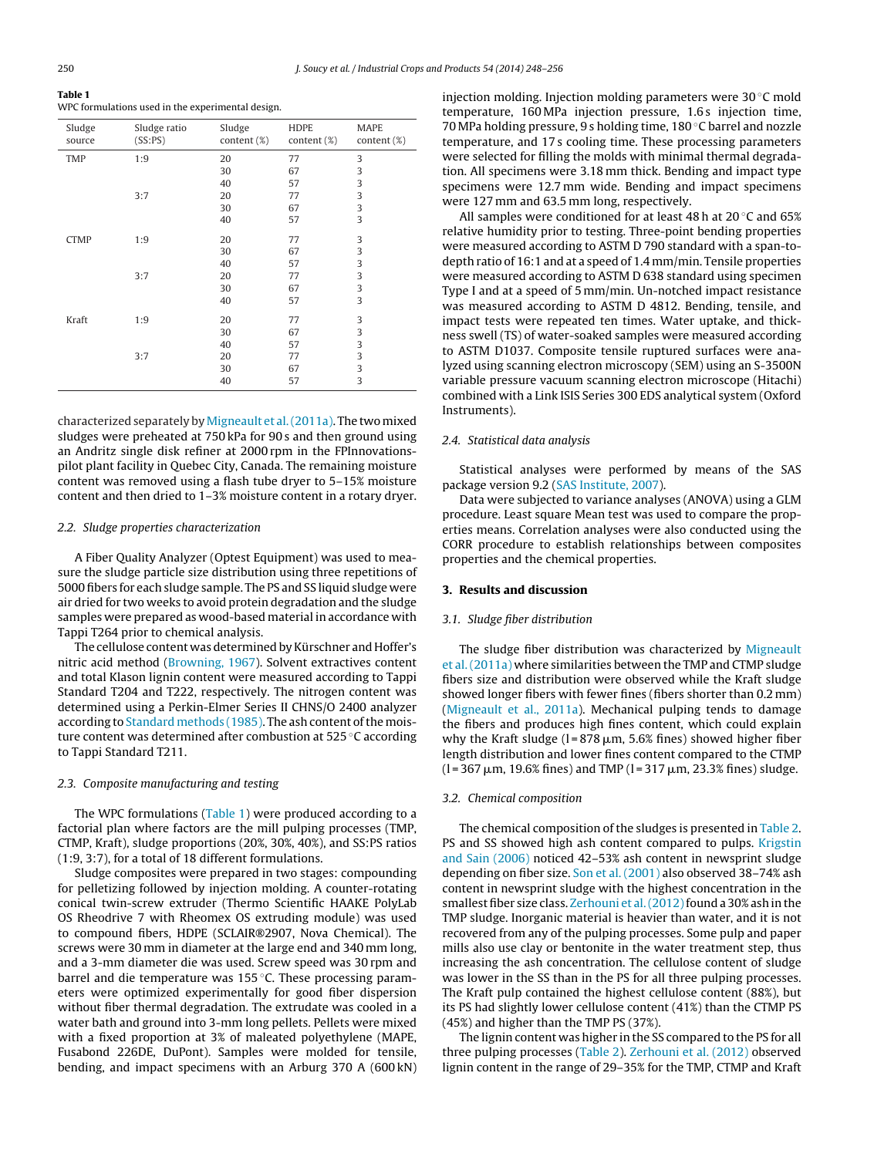| Table 1                                           |
|---------------------------------------------------|
| WPC formulations used in the experimental design. |

| Sludge<br>source | Sludge ratio<br>(SS:PS) | Sludge<br>content $(\%)$ | <b>HDPE</b><br>content $(\%)$ | <b>MAPE</b><br>content $(\%)$ |
|------------------|-------------------------|--------------------------|-------------------------------|-------------------------------|
| <b>TMP</b>       | 1:9                     | 20                       | 77                            | 3                             |
|                  |                         | 30                       | 67                            | 3                             |
|                  |                         | 40                       | 57                            | 3                             |
|                  | 3:7                     | 20                       | 77                            | 3                             |
|                  |                         | 30                       | 67                            | 3                             |
|                  |                         | 40                       | 57                            | 3                             |
| <b>CTMP</b>      | 1:9                     | 20                       | 77                            | 3                             |
|                  |                         | 30                       | 67                            | 3                             |
|                  |                         | 40                       | 57                            | 3                             |
|                  | 3:7                     | 20                       | 77                            | 3                             |
|                  |                         | 30                       | 67                            | 3                             |
|                  |                         | 40                       | 57                            | 3                             |
| Kraft            | 1:9                     | 20                       | 77                            | 3                             |
|                  |                         | 30                       | 67                            | 3                             |
|                  |                         | 40                       | 57                            | 3                             |
|                  | 3:7                     | 20                       | 77                            | 3                             |
|                  |                         | 30                       | 67                            | 3                             |
|                  |                         | 40                       | 57                            | 3                             |

characterized separately by [Migneault](#page-7-0) et al. (2011a). The two mixed sludges were preheated at 750 kPa for 90 s and then ground using an Andritz single disk refiner at 2000 rpm in the FPInnovationspilot plant facility in Quebec City, Canada. The remaining moisture content was removed using a flash tube dryer to 5–15% moisture content and then dried to 1–3% moisture content in a rotary dryer.

## 2.2. Sludge properties characterization

A Fiber Quality Analyzer (Optest Equipment) was used to measure the sludge particle size distribution using three repetitions of 5000 fibers for each sludge sample. The PS and SS liquid sludge were air dried for two weeks to avoid protein degradation and the sludge samples were prepared as wood-based material in accordance with Tappi T264 prior to chemical analysis.

The cellulose content was determined by Kürschner and Hoffer's nitric acid method [\(Browning,](#page-7-0) [1967\).](#page-7-0) Solvent extractives content and total Klason lignin content were measured according to Tappi Standard T204 and T222, respectively. The nitrogen content was determined using a Perkin-Elmer Series II CHNS/O 2400 analyzer according to [Standard](#page-8-0) [methods](#page-8-0) [\(1985\).](#page-8-0) The ash content of the moisture content was determined after combustion at 525 ◦C according to Tappi Standard T211.

## 2.3. Composite manufacturing and testing

The WPC formulations (Table 1) were produced according to a factorial plan where factors are the mill pulping processes (TMP, CTMP, Kraft), sludge proportions (20%, 30%, 40%), and SS:PS ratios (1:9, 3:7), for a total of 18 different formulations.

Sludge composites were prepared in two stages: compounding for pelletizing followed by injection molding. A counter-rotating conical twin-screw extruder (Thermo Scientific HAAKE PolyLab OS Rheodrive 7 with Rheomex OS extruding module) was used to compound fibers, HDPE (SCLAIR®2907, Nova Chemical). The screws were 30 mm in diameter at the large end and 340 mm long, and a 3-mm diameter die was used. Screw speed was 30 rpm and barrel and die temperature was 155 ◦C. These processing parameters were optimized experimentally for good fiber dispersion without fiber thermal degradation. The extrudate was cooled in a water bath and ground into 3-mm long pellets. Pellets were mixed with a fixed proportion at 3% of maleated polyethylene (MAPE, Fusabond 226DE, DuPont). Samples were molded for tensile, bending, and impact specimens with an Arburg 370 A (600 kN)

injection molding. Injection molding parameters were 30 ◦C mold temperature, 160 MPa injection pressure, 1.6 s injection time, 70 MPa holding pressure, 9 s holding time, 180 ◦C barrel and nozzle temperature, and 17 s cooling time. These processing parameters were selected for filling the molds with minimal thermal degradation. All specimens were 3.18 mm thick. Bending and impact type specimens were 12.7 mm wide. Bending and impact specimens were 127 mm and 63.5 mm long, respectively.

All samples were conditioned for at least 48 h at  $20^{\circ}$ C and 65% relative humidity prior to testing. Three-point bending properties were measured according to ASTM D 790 standard with a span-todepth ratio of 16:1 and at a speed of 1.4 mm/min. Tensile properties were measured according to ASTM D 638 standard using specimen Type I and at a speed of 5 mm/min. Un-notched impact resistance was measured according to ASTM D 4812. Bending, tensile, and impact tests were repeated ten times. Water uptake, and thickness swell (TS) of water-soaked samples were measured according to ASTM D1037. Composite tensile ruptured surfaces were analyzed using scanning electron microscopy (SEM) using an S-3500N variable pressure vacuum scanning electron microscope (Hitachi) combined with a Link ISIS Series 300 EDS analytical system (Oxford Instruments).

## 2.4. Statistical data analysis

Statistical analyses were performed by means of the SAS package version 9.2 [\(SAS](#page-8-0) [Institute,](#page-8-0) [2007\).](#page-8-0)

Data were subjected to variance analyses (ANOVA) using a GLM procedure. Least square Mean test was used to compare the properties means. Correlation analyses were also conducted using the CORR procedure to establish relationships between composites properties and the chemical properties.

## **3. Results and discussion**

#### 3.1. Sludge fiber distribution

The sludge fiber distribution was characterized by [Migneault](#page-7-0) et [al.\(2011a\)](#page-7-0) where similarities between the TMP and CTMP sludge fibers size and distribution were observed while the Kraft sludge showed longer fibers with fewer fines (fibers shorter than 0.2 mm) [\(Migneault](#page-7-0) et [al.,](#page-7-0) [2011a\).](#page-7-0) Mechanical pulping tends to damage the fibers and produces high fines content, which could explain why the Kraft sludge ( $l = 878 \,\rm \mu m$ , 5.6% fines) showed higher fiber length distribution and lower fines content compared to the CTMP (l = 367  $\upmu$ m, 19.6% fines) and TMP (l = 317  $\upmu$ m, 23.3% fines) sludge.

## 3.2. Chemical composition

The chemical composition of the sludges is presented in [Table](#page-3-0) 2. PS and SS showed high ash content compared to pulps. [Krigstin](#page-7-0) [and](#page-7-0) [Sain](#page-7-0) [\(2006\)](#page-7-0) noticed 42–53% ash content in newsprint sludge depending on fiber size. [Son](#page-8-0) et [al.](#page-8-0) [\(2001\)](#page-8-0) also observed 38–74% ash content in newsprint sludge with the highest concentration in the smallest fiber size class. [Zerhouni](#page-8-0) et al. (2012) found a 30% ash in the TMP sludge. Inorganic material is heavier than water, and it is not recovered from any of the pulping processes. Some pulp and paper mills also use clay or bentonite in the water treatment step, thus increasing the ash concentration. The cellulose content of sludge was lower in the SS than in the PS for all three pulping processes. The Kraft pulp contained the highest cellulose content (88%), but its PS had slightly lower cellulose content (41%) than the CTMP PS (45%) and higher than the TMP PS (37%).

The lignin content was higher in the SS compared to the PS for all three pulping processes ([Table](#page-3-0) 2). [Zerhouni](#page-8-0) et [al.](#page-8-0) [\(2012\)](#page-8-0) observed lignin content in the range of 29–35% for the TMP, CTMP and Kraft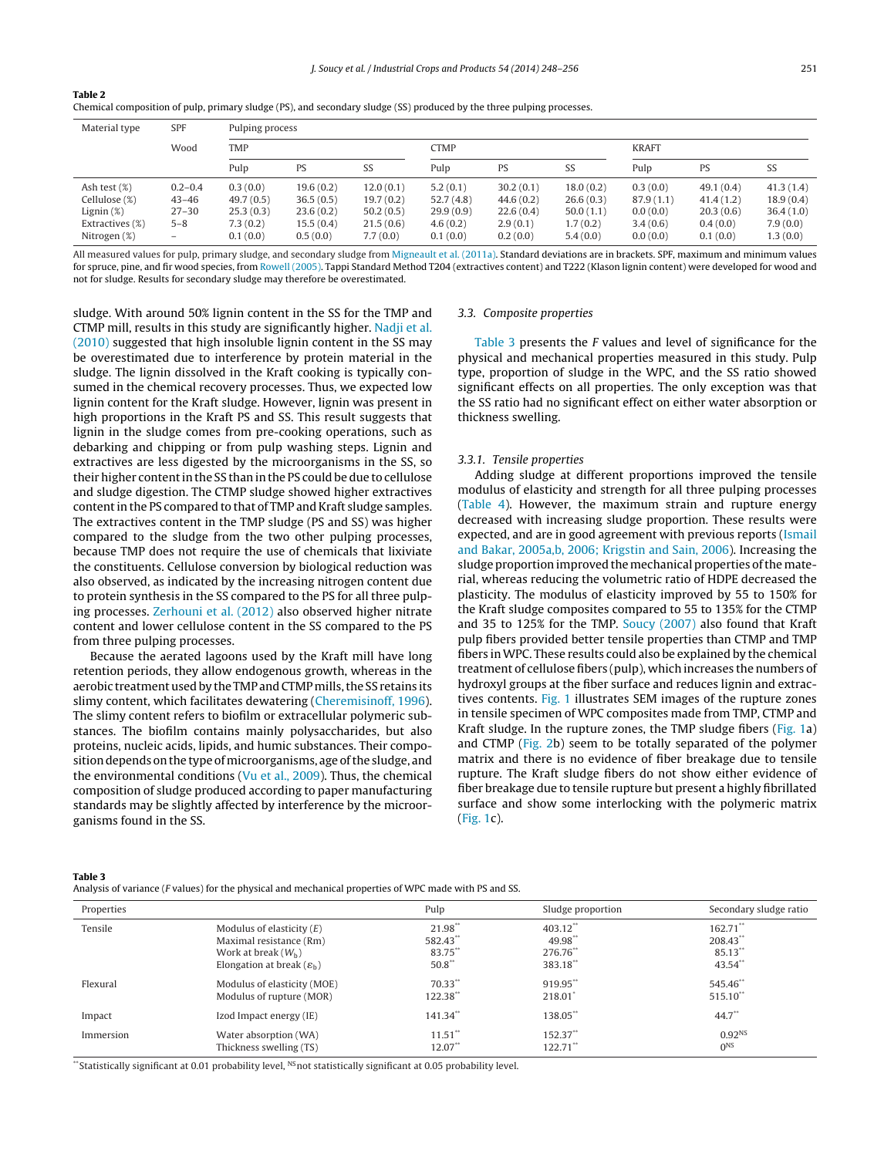#### <span id="page-3-0"></span>**Table 2**

Chemical composition of pulp, primary sludge (PS), and secondary sludge (SS) produced by the three pulping processes.

| Material type   | SPF         |           | Pulping process |             |           |           |              |           |           |           |
|-----------------|-------------|-----------|-----------------|-------------|-----------|-----------|--------------|-----------|-----------|-----------|
|                 | Wood        | TMP       |                 | <b>CTMP</b> |           |           | <b>KRAFT</b> |           |           |           |
|                 |             | Pulp      | PS              | SS          | Pulp      | PS        | SS           | Pulp      | PS        | SS        |
| Ash test $(\%)$ | $0.2 - 0.4$ | 0.3(0.0)  | 19.6(0.2)       | 12.0(0.1)   | 5.2(0.1)  | 30.2(0.1) | 18.0(0.2)    | 0.3(0.0)  | 49.1(0.4) | 41.3(1.4) |
| Cellulose (%)   | $43 - 46$   | 49.7(0.5) | 36.5(0.5)       | 19.7(0.2)   | 52.7(4.8) | 44.6(0.2) | 26.6(0.3)    | 87.9(1.1) | 41.4(1.2) | 18.9(0.4) |
| Lignin $(\%)$   | $27 - 30$   | 25.3(0.3) | 23.6(0.2)       | 50.2(0.5)   | 29.9(0.9) | 22.6(0.4) | 50.0(1.1)    | 0.0(0.0)  | 20.3(0.6) | 36.4(1.0) |
| Extractives (%) | $5 - 8$     | 7.3(0.2)  | 15.5(0.4)       | 21.5(0.6)   | 4.6(0.2)  | 2.9(0.1)  | 1.7(0.2)     | 3.4(0.6)  | 0.4(0.0)  | 7.9(0.0)  |
| Nitrogen $(\%)$ | -           | 0.1(0.0)  | 0.5(0.0)        | 7.7(0.0)    | 0.1(0.0)  | 0.2(0.0)  | 5.4(0.0)     | 0.0(0.0)  | 0.1(0.0)  | 1.3(0.0)  |

All measured values for pulp, primary sludge, and secondary sludge from [Migneault](#page-7-0) et [al.](#page-7-0) [\(2011a\).](#page-7-0) Standard deviations are in brackets. SPF, maximum and minimum values for spruce, pine, and fir wood species, from [Rowell](#page-8-0) [\(2005\).](#page-8-0) Tappi Standard Method T204 (extractives content) and T222 (Klason lignin content) were developed for wood and not for sludge. Results for secondary sludge may therefore be overestimated.

sludge. With around 50% lignin content in the SS for the TMP and CTMP mill, results in this study are significantly higher. [Nadji](#page-7-0) et [al.](#page-7-0) [\(2010\)](#page-7-0) suggested that high insoluble lignin content in the SS may be overestimated due to interference by protein material in the sludge. The lignin dissolved in the Kraft cooking is typically consumed in the chemical recovery processes. Thus, we expected low lignin content for the Kraft sludge. However, lignin was present in high proportions in the Kraft PS and SS. This result suggests that lignin in the sludge comes from pre-cooking operations, such as debarking and chipping or from pulp washing steps. Lignin and extractives are less digested by the microorganisms in the SS, so their higher contentin the SS than in the PS could be due to cellulose and sludge digestion. The CTMP sludge showed higher extractives content in the PS compared to that of TMP and Kraft sludge samples. The extractives content in the TMP sludge (PS and SS) was higher compared to the sludge from the two other pulping processes, because TMP does not require the use of chemicals that lixiviate the constituents. Cellulose conversion by biological reduction was also observed, as indicated by the increasing nitrogen content due to protein synthesis in the SS compared to the PS for all three pulping processes. [Zerhouni](#page-8-0) et [al.](#page-8-0) [\(2012\)](#page-8-0) also observed higher nitrate content and lower cellulose content in the SS compared to the PS from three pulping processes.

Because the aerated lagoons used by the Kraft mill have long retention periods, they allow endogenous growth, whereas in the aerobic treatment used by the TMP and CTMP mills, the SS retains its slimy content, which facilitates dewatering [\(Cheremisinoff,](#page-7-0) [1996\).](#page-7-0) The slimy content refers to biofilm or extracellular polymeric substances. The biofilm contains mainly polysaccharides, but also proteins, nucleic acids, lipids, and humic substances. Their composition depends on the type of microorganisms, age of the sludge, and the environmental conditions [\(Vu](#page-8-0) et [al.,](#page-8-0) [2009\).](#page-8-0) Thus, the chemical composition of sludge produced according to paper manufacturing standards may be slightly affected by interference by the microorganisms found in the SS.

#### 3.3. Composite properties

Table 3 presents the F values and level of significance for the physical and mechanical properties measured in this study. Pulp type, proportion of sludge in the WPC, and the SS ratio showed significant effects on all properties. The only exception was that the SS ratio had no significant effect on either water absorption or thickness swelling.

## 3.3.1. Tensile properties

Adding sludge at different proportions improved the tensile modulus of elasticity and strength for all three pulping processes [\(Table](#page-4-0) 4). However, the maximum strain and rupture energy decreased with increasing sludge proportion. These results were expected, and are in good agreement with previous reports ([Ismail](#page-7-0) [and](#page-7-0) [Bakar,](#page-7-0) [2005a,b,](#page-7-0) [2006;](#page-7-0) [Krigstin](#page-7-0) [and](#page-7-0) [Sain,](#page-7-0) [2006\).](#page-7-0) Increasing the sludge proportion improved the mechanical properties of the material, whereas reducing the volumetric ratio of HDPE decreased the plasticity. The modulus of elasticity improved by 55 to 150% for the Kraft sludge composites compared to 55 to 135% for the CTMP and 35 to 125% for the TMP. [Soucy](#page-8-0) [\(2007\)](#page-8-0) also found that Kraft pulp fibers provided better tensile properties than CTMP and TMP fibers inWPC. These results could also be explained by the chemical treatment of cellulose fibers (pulp), which increases the numbers of hydroxyl groups at the fiber surface and reduces lignin and extractives contents. [Fig.](#page-4-0) 1 illustrates SEM images of the rupture zones in tensile specimen of WPC composites made from TMP, CTMP and Kraft sludge. In the rupture zones, the TMP sludge fibers ([Fig.](#page-4-0) 1a) and CTMP ([Fig.](#page-5-0) 2b) seem to be totally separated of the polymer matrix and there is no evidence of fiber breakage due to tensile rupture. The Kraft sludge fibers do not show either evidence of fiber breakage due to tensile rupture but present a highly fibrillated surface and show some interlocking with the polymeric matrix [\(Fig.](#page-4-0) 1c).

#### **Table 3**

Analysis of variance (F values) for the physical and mechanical properties of WPC made with PS and SS.

| Properties |                                       | Pulp        | Sludge proportion | Secondary sludge ratio |
|------------|---------------------------------------|-------------|-------------------|------------------------|
| Tensile    | Modulus of elasticity $(E)$           | 21.98**     | 403.12**          | $162.71**$             |
|            | Maximal resistance (Rm)               | 582.43**    | 49.98"            | 208.43**               |
|            | Work at break $(W_h)$                 | 83.75**     | 276.76**          | 85.13**                |
|            | Elongation at break $(\varepsilon_h)$ | 50.8        | 383.18**          | 43.54                  |
| Flexural   | Modulus of elasticity (MOE)           | 70.33**     | 919.95**          | 545.46**               |
|            | Modulus of rupture (MOR)              | $122.38$ *  | 218.01            | 515.10                 |
| Impact     | Izod Impact energy (IE)               | $141.34$ ** | 138.05**          | $44.7**$               |
| Immersion  | Water absorption (WA)                 | $11.51$ **  | 152.37**          | $0.92^{NS}$            |
|            | Thickness swelling (TS)               | $12.07**$   | $122.71$ **       | 0 <sup>NS</sup>        |

 $^*$ Statistically significant at 0.01 probability level,  $^{\text{NS}}$ not statistically significant at 0.05 probability level.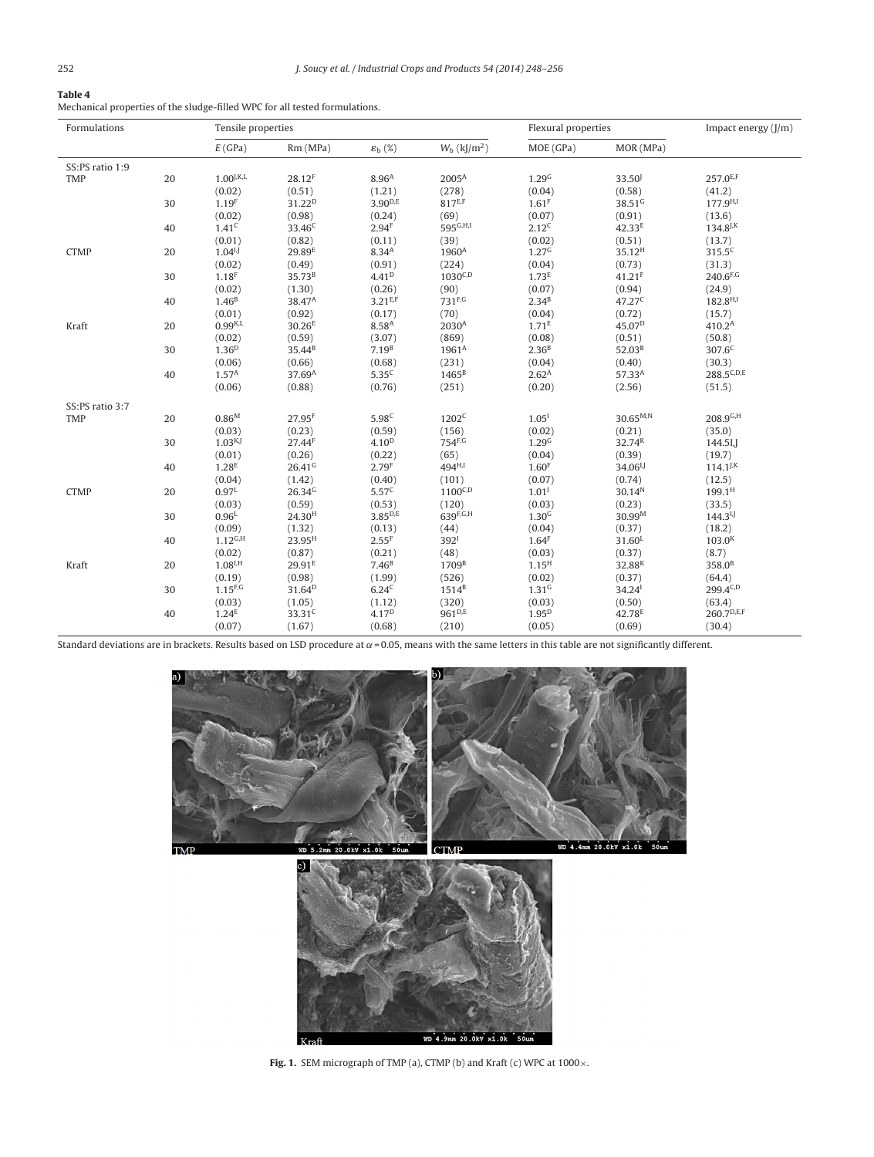## <span id="page-4-0"></span>**Table 4**

Mechanical properties of the sludge-filled WPC for all tested formulations.

| Formulations    |    | Tensile properties  |                      |                           | Flexural properties        | Impact energy (J/m) |                      |                    |
|-----------------|----|---------------------|----------------------|---------------------------|----------------------------|---------------------|----------------------|--------------------|
|                 |    | E(GPa)              | Rm (MPa)             | $\varepsilon_{\rm b}$ (%) | $W_b$ (kJ/m <sup>2</sup> ) | MOE (GPa)           | MOR (MPa)            |                    |
| SS:PS ratio 1:9 |    |                     |                      |                           |                            |                     |                      |                    |
| <b>TMP</b>      | 20 | $1.00^{J,K,L}$      | $28.12$ <sup>F</sup> | 8.96 <sup>A</sup>         | 2005 <sup>A</sup>          | 1.29 <sup>G</sup>   | 33.50 <sup>J</sup>   | $257.0^{E,F}$      |
|                 |    | (0.02)              | (0.51)               | (1.21)                    | (278)                      | (0.04)              | (0.58)               | (41.2)             |
|                 | 30 | 1.19 <sup>F</sup>   | 31.22 <sup>D</sup>   | 3.90 <sup>D,E</sup>       | 817E,F                     | 1.61 <sup>F</sup>   | 38.51 <sup>G</sup>   | $177.9^{H,I}$      |
|                 |    | (0.02)              | (0.98)               | (0.24)                    | (69)                       | (0.07)              | (0.91)               | (13.6)             |
|                 | 40 | 1.41 <sup>C</sup>   | $33.46^C$            | 2.94 <sup>F</sup>         | 595 <sup>G,H,I</sup>       | 2.12 <sup>c</sup>   | 42.33 <sup>E</sup>   | $134.8^{J.K}$      |
|                 |    | (0.01)              | (0.82)               | (0.11)                    | (39)                       | (0.02)              | (0.51)               | (13.7)             |
| <b>CTMP</b>     | 20 | $1.04^{I,J}$        | 29.89 <sup>E</sup>   | $8.34^{A}$                | 1960 <sup>A</sup>          | 1.27 <sup>G</sup>   | 35.12 <sup>H</sup>   | $315.5^C$          |
|                 |    | (0.02)              | (0.49)               | (0.91)                    | (224)                      | (0.04)              | (0.73)               | (31.3)             |
|                 | 30 | $1.18$ <sup>F</sup> | $35.73^{B}$          | 4.41 <sup>D</sup>         | $1030^{\text{C,D}}$        | 1.73 <sup>E</sup>   | $41.21$ <sup>F</sup> | $240.6^{F,G}$      |
|                 |    | (0.02)              | (1.30)               | (0.26)                    | (90)                       | (0.07)              | (0.94)               | (24.9)             |
|                 | 40 | $1.46^{B}$          | 38.47 <sup>A</sup>   | 3.21 <sup>E,F</sup>       | $731$ F,G                  | $2.34^{B}$          | $47.27^C$            | 182.8HJ            |
|                 |    | (0.01)              | (0.92)               | (0.17)                    | (70)                       | (0.04)              | (0.72)               | (15.7)             |
| Kraft           | 20 | 0.99 <sup>K,L</sup> | 30.26 <sup>E</sup>   | 8.58 <sup>A</sup>         | 2030 <sup>A</sup>          | 1.71 <sup>E</sup>   | 45.07 <sup>D</sup>   | $410.2^A$          |
|                 |    | (0.02)              | (0.59)               | (3.07)                    | (869)                      | (0.08)              | (0.51)               | (50.8)             |
|                 | 30 | $1.36^{D}$          | $35.44^{B}$          | 7.19 <sup>B</sup>         | 1961 <sup>A</sup>          | $2.36^{B}$          | 52.03 <sup>B</sup>   | 307.6 <sup>C</sup> |
|                 |    | (0.06)              | (0.66)               | (0.68)                    | (231)                      | (0.04)              | (0.40)               | (30.3)             |
|                 | 40 | $1.57^{A}$          | 37.69 <sup>A</sup>   | 5.35 <sup>C</sup>         | $1465^B$                   | 2.62 <sup>A</sup>   | 57.33 <sup>A</sup>   | $288.5^{C,D,E}$    |
|                 |    | (0.06)              | (0.88)               | (0.76)                    | (251)                      | (0.20)              | (2.56)               | (51.5)             |
| SS:PS ratio 3:7 |    |                     |                      |                           |                            |                     |                      |                    |
| <b>TMP</b>      | 20 | $0.86^M$            | $27.95$ <sup>F</sup> | 5.98 <sup>C</sup>         | $1202^C$                   | $1.05^{1}$          | $30.65^{M,N}$        | $208.9^{G,H}$      |
|                 |    | (0.03)              | (0.23)               | (0.59)                    | (156)                      | (0.02)              | (0.21)               | (35.0)             |
|                 | 30 | 1.03 <sub>KJ</sub>  | $27.44^{F}$          | 4.10 <sup>D</sup>         | $754$ <sup>F,G</sup>       | 1.29 <sup>G</sup>   | 32.74K               | $144.5$ I,J        |
|                 |    | (0.01)              | (0.26)               | (0.22)                    | (65)                       | (0.04)              | (0.39)               | (19.7)             |
|                 | 40 | 1.28 <sup>E</sup>   | 26.41 <sup>6</sup>   | 2.79 <sup>F</sup>         | 494H,I                     | 1.60 <sup>F</sup>   | 34.06 <sup>IJ</sup>  | $114.1^{J,K}$      |
|                 |    | (0.04)              | (1.42)               | (0.40)                    | (101)                      | (0.07)              | (0.74)               | (12.5)             |
| <b>CTMP</b>     | 20 | 0.97 <sup>L</sup>   | 26.34 <sup>6</sup>   | 5.57 <sup>C</sup>         | $1100^{C,D}$               | 1.01 <sup>1</sup>   | $30.14^{N}$          | 199.1 <sup>H</sup> |
|                 |    | (0.03)              | (0.59)               | (0.53)                    | (120)                      | (0.03)              | (0.23)               | (33.5)             |
|                 | 30 | 0.96 <sup>L</sup>   | 24.30 <sup>H</sup>   | $3.85^{D,E}$              | 639F,G,H                   | 1.30 <sup>G</sup>   | 30.99M               | $144.3^{I,J}$      |
|                 |    | (0.09)              | (1.32)               | (0.13)                    | (44)                       | (0.04)              | (0.37)               | (18.2)             |
|                 | 40 | $1.12^{G,H}$        | 23.95H               | $2.55$ <sup>F</sup>       | $392^{1}$                  | 1.64 <sup>F</sup>   | $31.60^L$            | 103.0 <sup>K</sup> |
|                 |    | (0.02)              | (0.87)               | (0.21)                    | (48)                       | (0.03)              | (0.37)               | (8.7)              |
| Kraft           | 20 | $1.08^{I,H}$        | 29.91 <sup>E</sup>   | 7.46 <sup>B</sup>         | 1709 <sup>B</sup>          | $1.15^H$            | 32.88 <sup>K</sup>   | $358.0^{B}$        |
|                 |    | (0.19)              | (0.98)               | (1.99)                    | (526)                      | (0.02)              | (0.37)               | (64.4)             |
|                 | 30 | $1.15^{F,G}$        | $31.64^{D}$          | 6.24 <sup>C</sup>         | $1514^B$                   | 1.31 <sup>G</sup>   | $34.24^{1}$          | $299.4^{C,D}$      |
|                 |    | (0.03)              | (1.05)               | (1.12)                    | (320)                      | (0.03)              | (0.50)               | (63.4)             |
|                 | 40 | 1.24 <sup>E</sup>   | 33.31 <sup>C</sup>   | 4.17 <sup>D</sup>         | $961^{D,E}$                | $1.95^{D}$          | 42.78 <sup>E</sup>   | $260.7^{D,E,F}$    |
|                 |    | (0.07)              | (1.67)               | (0.68)                    | (210)                      | (0.05)              | (0.69)               | (30.4)             |

Standard deviations are in brackets. Results based on LSD procedure at  $\alpha$  = 0.05, means with the same letters in this table are not significantly different.





**Fig. 1.** SEM micrograph of TMP (a), CTMP (b) and Kraft (c) WPC at 1000×.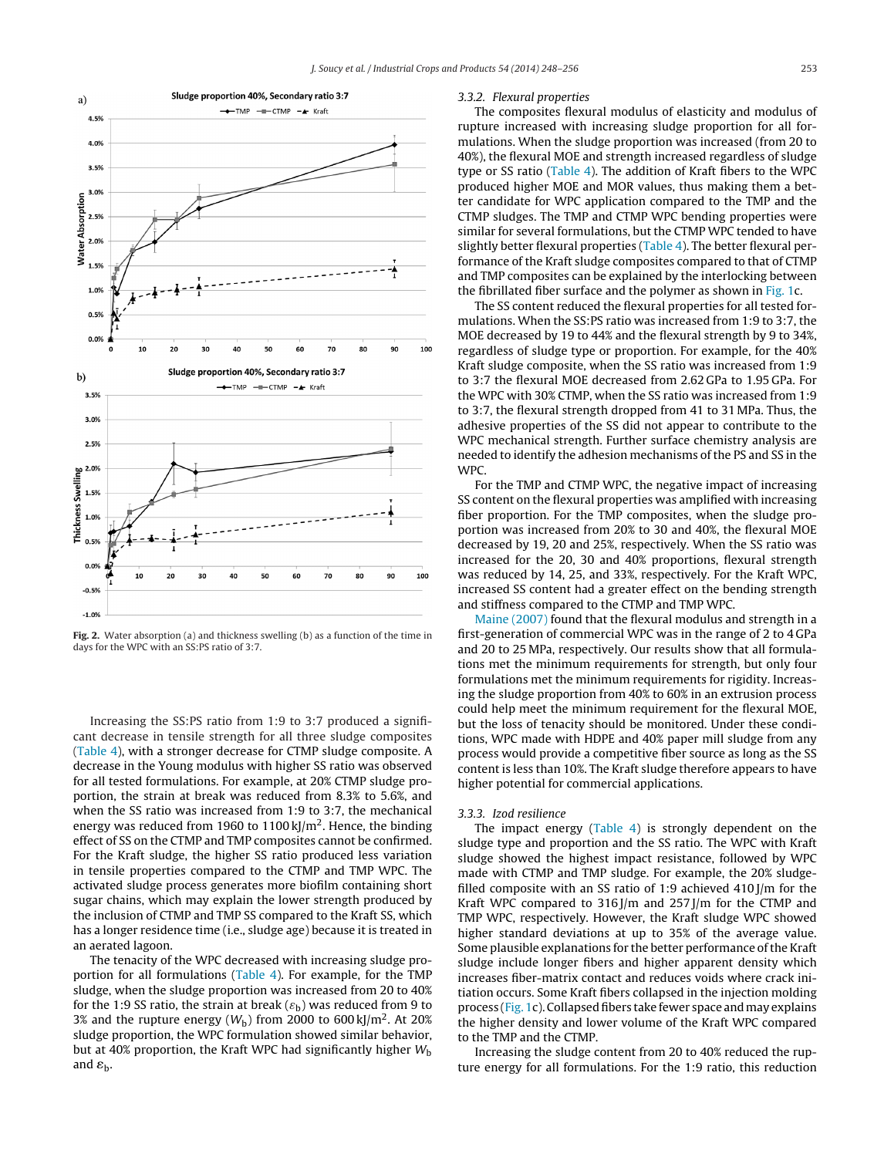<span id="page-5-0"></span>

**Fig. 2.** Water absorption (a) and thickness swelling (b) as a function of the time in days for the WPC with an SS:PS ratio of 3:7.

Increasing the SS:PS ratio from 1:9 to 3:7 produced a significant decrease in tensile strength for all three sludge composites ([Table](#page-4-0) 4), with a stronger decrease for CTMP sludge composite. A decrease in the Young modulus with higher SS ratio was observed for all tested formulations. For example, at 20% CTMP sludge proportion, the strain at break was reduced from 8.3% to 5.6%, and when the SS ratio was increased from 1:9 to 3:7, the mechanical energy was reduced from 1960 to 1100 kJ/m<sup>2</sup>. Hence, the binding effect of SS on the CTMP and TMP composites cannot be confirmed. For the Kraft sludge, the higher SS ratio produced less variation in tensile properties compared to the CTMP and TMP WPC. The activated sludge process generates more biofilm containing short sugar chains, which may explain the lower strength produced by the inclusion of CTMP and TMP SS compared to the Kraft SS, which has a longer residence time (i.e., sludge age) because it is treated in an aerated lagoon.

The tenacity of the WPC decreased with increasing sludge proportion for all formulations ([Table](#page-4-0) 4). For example, for the TMP sludge, when the sludge proportion was increased from 20 to 40% for the 1:9 SS ratio, the strain at break  $(\varepsilon_b)$  was reduced from 9 to 3% and the rupture energy ( $W<sub>b</sub>$ ) from 2000 to 600 kJ/m<sup>2</sup>. At 20% sludge proportion, the WPC formulation showed similar behavior, but at 40% proportion, the Kraft WPC had significantly higher  $W<sub>b</sub>$ and  $\varepsilon_{\rm b}$ .

#### 3.3.2. Flexural properties

The composites flexural modulus of elasticity and modulus of rupture increased with increasing sludge proportion for all formulations. When the sludge proportion was increased (from 20 to 40%), the flexural MOE and strength increased regardless of sludge type or SS ratio ([Table](#page-4-0) 4). The addition of Kraft fibers to the WPC produced higher MOE and MOR values, thus making them a better candidate for WPC application compared to the TMP and the CTMP sludges. The TMP and CTMP WPC bending properties were similar for several formulations, but the CTMP WPC tended to have slightly better flexural properties [\(Table](#page-4-0) 4). The better flexural performance of the Kraft sludge composites compared to that of CTMP and TMP composites can be explained by the interlocking between the fibrillated fiber surface and the polymer as shown in [Fig.](#page-4-0) 1c.

The SS content reduced the flexural properties for all tested formulations. When the SS:PS ratio was increased from 1:9 to 3:7, the MOE decreased by 19 to 44% and the flexural strength by 9 to 34%, regardless of sludge type or proportion. For example, for the 40% Kraft sludge composite, when the SS ratio was increased from 1:9 to 3:7 the flexural MOE decreased from 2.62 GPa to 1.95 GPa. For the WPC with 30% CTMP, when the SS ratio was increased from 1:9 to 3:7, the flexural strength dropped from 41 to 31 MPa. Thus, the adhesive properties of the SS did not appear to contribute to the WPC mechanical strength. Further surface chemistry analysis are needed to identify the adhesion mechanisms of the PS and SS in the WPC.

For the TMP and CTMP WPC, the negative impact of increasing SS content on the flexural properties was amplified with increasing fiber proportion. For the TMP composites, when the sludge proportion was increased from 20% to 30 and 40%, the flexural MOE decreased by 19, 20 and 25%, respectively. When the SS ratio was increased for the 20, 30 and 40% proportions, flexural strength was reduced by 14, 25, and 33%, respectively. For the Kraft WPC, increased SS content had a greater effect on the bending strength and stiffness compared to the CTMP and TMP WPC.

[Maine](#page-7-0) [\(2007\)](#page-7-0) found that the flexural modulus and strength in a first-generation of commercial WPC was in the range of 2 to 4 GPa and 20 to 25 MPa, respectively. Our results show that all formulations met the minimum requirements for strength, but only four formulations met the minimum requirements for rigidity. Increasing the sludge proportion from 40% to 60% in an extrusion process could help meet the minimum requirement for the flexural MOE, but the loss of tenacity should be monitored. Under these conditions, WPC made with HDPE and 40% paper mill sludge from any process would provide a competitive fiber source as long as the SS content is less than 10%. The Kraft sludge therefore appears to have higher potential for commercial applications.

## 3.3.3. Izod resilience

The impact energy [\(Table](#page-4-0) 4) is strongly dependent on the sludge type and proportion and the SS ratio. The WPC with Kraft sludge showed the highest impact resistance, followed by WPC made with CTMP and TMP sludge. For example, the 20% sludgefilled composite with an SS ratio of 1:9 achieved 410 J/m for the Kraft WPC compared to 316 J/m and 257 J/m for the CTMP and TMP WPC, respectively. However, the Kraft sludge WPC showed higher standard deviations at up to 35% of the average value. Some plausible explanations for the better performance of the Kraft sludge include longer fibers and higher apparent density which increases fiber-matrix contact and reduces voids where crack initiation occurs. Some Kraft fibers collapsed in the injection molding process [\(Fig.](#page-4-0) 1c). Collapsed fibers take fewer space and may explains the higher density and lower volume of the Kraft WPC compared to the TMP and the CTMP.

Increasing the sludge content from 20 to 40% reduced the rupture energy for all formulations. For the 1:9 ratio, this reduction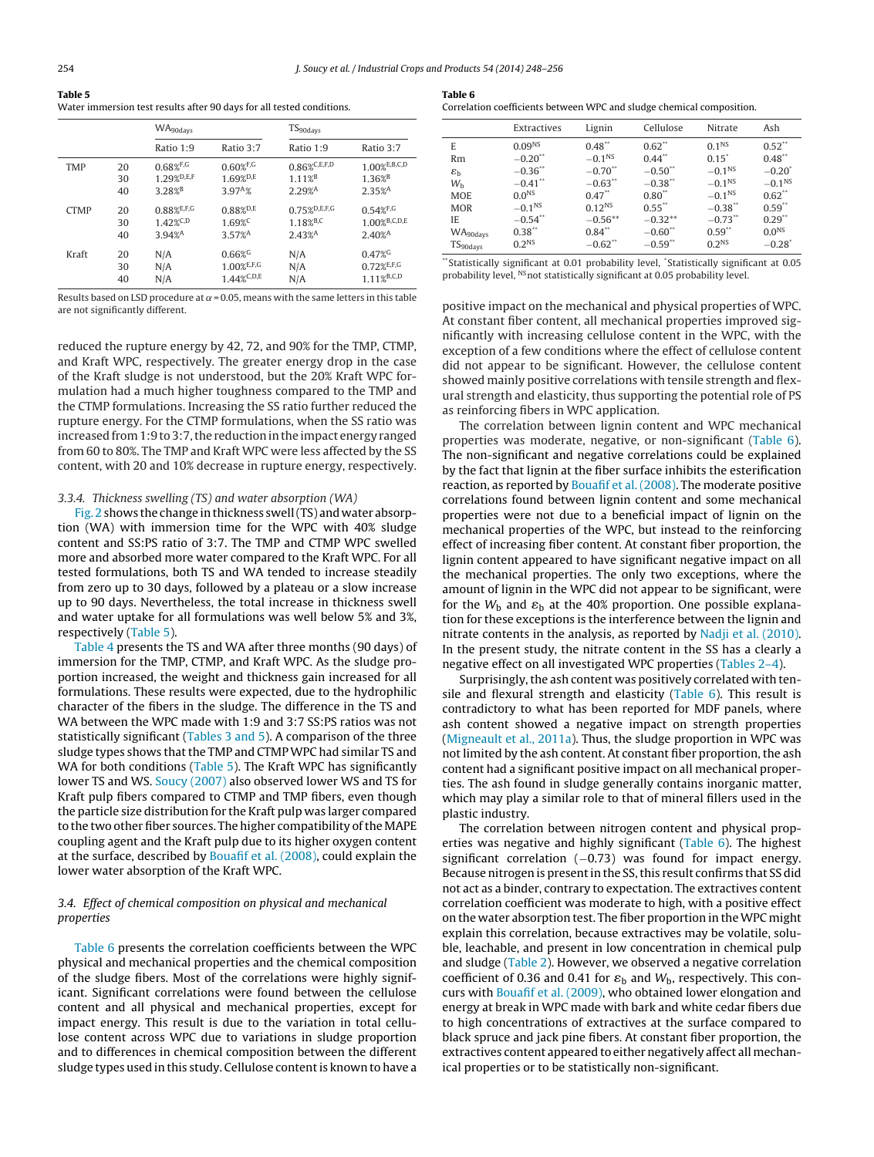| Table 5                                                               |  |
|-----------------------------------------------------------------------|--|
| Water immersion test results after 90 days for all tested conditions. |  |

|             |    | WA <sub>90days</sub>     |                         | TS <sub>90 days</sub>             |                             |
|-------------|----|--------------------------|-------------------------|-----------------------------------|-----------------------------|
|             |    | Ratio 1:9                | Ratio 3:7               | Ratio 1:9                         | Ratio 3:7                   |
| <b>TMP</b>  | 20 | $0.68%$ <sub>F,G</sub>   | $0.60\%$ <sup>F,G</sup> | $0.86\%$ C,E,F,D                  | $1.00\%$ E,B,C,D            |
|             | 30 | $1.29%^{D,E,F}$          | $1.69\%^{D,E}$          | $111\%$ <sup>B</sup>              | $1.36%$ <sup>B</sup>        |
|             | 40 | $3.28%$ <sup>B</sup>     | $3.97^{A}\%$            | $2.29%$ <sup>A</sup>              | $2.35%$ <sup>A</sup>        |
| <b>CTMP</b> | 20 | $0.88%$ <sub>E,F,G</sub> | $0.88\%$ <sup>D,E</sup> | $0.75\%$ <sup>D,E,F,G</sup>       | $0.54\%$ <sup>F,G</sup>     |
|             | 30 | $1.42\%^{C,D}$           | $1.69%$ <sup>C</sup>    | 1.18 $\frac{9}{2}$ <sub>B,C</sub> | $1.00\%$ <sup>B,C,D,E</sup> |
|             | 40 | $3.94%$ <sup>A</sup>     | 3.57% <sup>A</sup>      | $2.43%$ <sup>A</sup>              | $2.40%$ <sup>A</sup>        |
| Kraft       | 20 | N/A                      | 0.66%                   | N/A                               | $0.47\%$ <sup>G</sup>       |
|             | 30 | N/A                      | $1.00\%$ E,F,G          | N/A                               | 0.72%E, F, G                |
|             | 40 | N/A                      | $1.44\%$ C,D,E          | N/A                               | $1.11\%$ <sup>B,C,D</sup>   |

Results based on LSD procedure at  $\alpha$  = 0.05, means with the same letters in this table are not significantly different.

reduced the rupture energy by 42, 72, and 90% for the TMP, CTMP, and Kraft WPC, respectively. The greater energy drop in the case of the Kraft sludge is not understood, but the 20% Kraft WPC formulation had a much higher toughness compared to the TMP and the CTMP formulations. Increasing the SS ratio further reduced the rupture energy. For the CTMP formulations, when the SS ratio was increased from 1:9 to 3:7, the reduction in the impact energy ranged from 60 to 80%. The TMP and Kraft WPC were less affected by the SS content, with 20 and 10% decrease in rupture energy, respectively.

#### 3.3.4. Thickness swelling (TS) and water absorption (WA)

[Fig.](#page-5-0) 2 shows the change inthickness swell(TS) and water absorption (WA) with immersion time for the WPC with 40% sludge content and SS:PS ratio of 3:7. The TMP and CTMP WPC swelled more and absorbed more water compared to the Kraft WPC. For all tested formulations, both TS and WA tended to increase steadily from zero up to 30 days, followed by a plateau or a slow increase up to 90 days. Nevertheless, the total increase in thickness swell and water uptake for all formulations was well below 5% and 3%, respectively (Table 5).

[Table](#page-4-0) 4 presents the TS and WA after three months (90 days) of immersion for the TMP, CTMP, and Kraft WPC. As the sludge proportion increased, the weight and thickness gain increased for all formulations. These results were expected, due to the hydrophilic character of the fibers in the sludge. The difference in the TS and WA between the WPC made with 1:9 and 3:7 SS:PS ratios was not statistically significant ([Tables](#page-3-0) 3 and 5). A comparison of the three sludge types shows that the TMP and CTMP WPC had similar TS and WA for both conditions (Table 5). The Kraft WPC has significantly lower TS and WS. [Soucy](#page-8-0) [\(2007\)](#page-8-0) also observed lower WS and TS for Kraft pulp fibers compared to CTMP and TMP fibers, even though the particle size distribution for the Kraft pulp was larger compared to the two other fiber sources. The higher compatibility ofthe MAPE coupling agent and the Kraft pulp due to its higher oxygen content at the surface, described by [Bouafif](#page-7-0) et [al.](#page-7-0) [\(2008\),](#page-7-0) could explain the lower water absorption of the Kraft WPC.

## 3.4. Effect of chemical composition on physical and mechanical properties

Table 6 presents the correlation coefficients between the WPC physical and mechanical properties and the chemical composition of the sludge fibers. Most of the correlations were highly significant. Significant correlations were found between the cellulose content and all physical and mechanical properties, except for impact energy. This result is due to the variation in total cellulose content across WPC due to variations in sludge proportion and to differences in chemical composition between the different sludge types used in this study. Cellulose contentis known to have a

| Table 6 |  |
|---------|--|
|         |  |

Correlation coefficients between WPC and sludge chemical composition.

|                       | Extractives        | Lignin                | Cellulose             | Nitrate           | Ash                  |
|-----------------------|--------------------|-----------------------|-----------------------|-------------------|----------------------|
| E                     | 0.09 <sup>NS</sup> | $0.48***$             | $0.62**$              | 0.1 <sup>NS</sup> | $0.52$ **            |
| Rm                    | $-0.20$ **         | $-0.1^{NS}$           | $0.44$ **             | $0.15^*$          | $0.48$ **            |
| $\varepsilon_{\rm h}$ | $-0.36**$          | $-0.70$ <sup>**</sup> | $-0.50$ <sup>**</sup> | $-0.1^{NS}$       | $-0.20^*$            |
| $W_{h}$               | $-0.41$ **         | $-0.63$ **            | $-0.38***$            | $-0.1^{NS}$       | $-0.1NS$             |
| <b>MOE</b>            | 0.0 <sup>NS</sup>  | $0.47$ <sup>**</sup>  | $0.80^{**}$           | $-0.1^{NS}$       | $0.62$ **            |
| <b>MOR</b>            | $-0.1^{NS}$        | $0.12^{NS}$           | $0.55$ **             | $-0.38$ **        | $0.59***$            |
| IE.                   | $-0.54$ **         | $-0.56**$             | $-0.32**$             | $-0.73$ **        | $0.29***$            |
| WA <sub>90days</sub>  | $0.38***$          | $0.84**$              | $-0.60$ <sup>**</sup> | $0.59**$          | 0.0 <sup>NS</sup>    |
| $TS_{90\text{days}}$  | 0.2 <sup>NS</sup>  | $-0.62$ **            | $-0.59$ **            | 0.2 <sup>NS</sup> | $-0.28$ <sup>*</sup> |

\*\*Statistically significant at 0.01 probability level, \*Statistically significant at 0.05 probability level, <sup>NS</sup>not statistically significant at 0.05 probability level.

positive impact on the mechanical and physical properties of WPC. At constant fiber content, all mechanical properties improved significantly with increasing cellulose content in the WPC, with the exception of a few conditions where the effect of cellulose content did not appear to be significant. However, the cellulose content showed mainly positive correlations with tensile strength and flexural strength and elasticity, thus supporting the potential role of PS as reinforcing fibers in WPC application.

The correlation between lignin content and WPC mechanical properties was moderate, negative, or non-significant (Table 6). The non-significant and negative correlations could be explained by the fact that lignin at the fiber surface inhibits the esterification reaction, as reported by [Bouafif](#page-7-0) et [al.](#page-7-0) [\(2008\).](#page-7-0) The moderate positive correlations found between lignin content and some mechanical properties were not due to a beneficial impact of lignin on the mechanical properties of the WPC, but instead to the reinforcing effect of increasing fiber content. At constant fiber proportion, the lignin content appeared to have significant negative impact on all the mechanical properties. The only two exceptions, where the amount of lignin in the WPC did not appear to be significant, were for the  $W<sub>b</sub>$  and  $\varepsilon<sub>b</sub>$  at the 40% proportion. One possible explanation for these exceptions is the interference between the lignin and nitrate contents in the analysis, as reported by [Nadji](#page-7-0) et [al.](#page-7-0) [\(2010\).](#page-7-0) In the present study, the nitrate content in the SS has a clearly a negative effect on all investigated WPC properties [\(Tables](#page-3-0) 2–4).

Surprisingly, the ash content was positively correlated with tensile and flexural strength and elasticity (Table 6). This result is contradictory to what has been reported for MDF panels, where ash content showed a negative impact on strength properties [\(Migneault](#page-7-0) et [al.,](#page-7-0) [2011a\).](#page-7-0) Thus, the sludge proportion in WPC was not limited by the ash content. At constant fiber proportion, the ash content had a significant positive impact on all mechanical properties. The ash found in sludge generally contains inorganic matter, which may play a similar role to that of mineral fillers used in the plastic industry.

The correlation between nitrogen content and physical properties was negative and highly significant (Table 6). The highest significant correlation  $(-0.73)$  was found for impact energy. Because nitrogen is present in the SS, this result confirms that SS did not act as a binder, contrary to expectation. The extractives content correlation coefficient was moderate to high, with a positive effect on the water absorption test. The fiber proportion in theWPC might explain this correlation, because extractives may be volatile, soluble, leachable, and present in low concentration in chemical pulp and sludge ([Table](#page-3-0) 2). However, we observed a negative correlation coefficient of 0.36 and 0.41 for  $\varepsilon_b$  and  $W_b$ , respectively. This concurs with [Bouafif](#page-7-0) et [al.](#page-7-0) [\(2009\),](#page-7-0) who obtained lower elongation and energy at break in WPC made with bark and white cedar fibers due to high concentrations of extractives at the surface compared to black spruce and jack pine fibers. At constant fiber proportion, the extractives content appeared to either negatively affect all mechanical properties or to be statistically non-significant.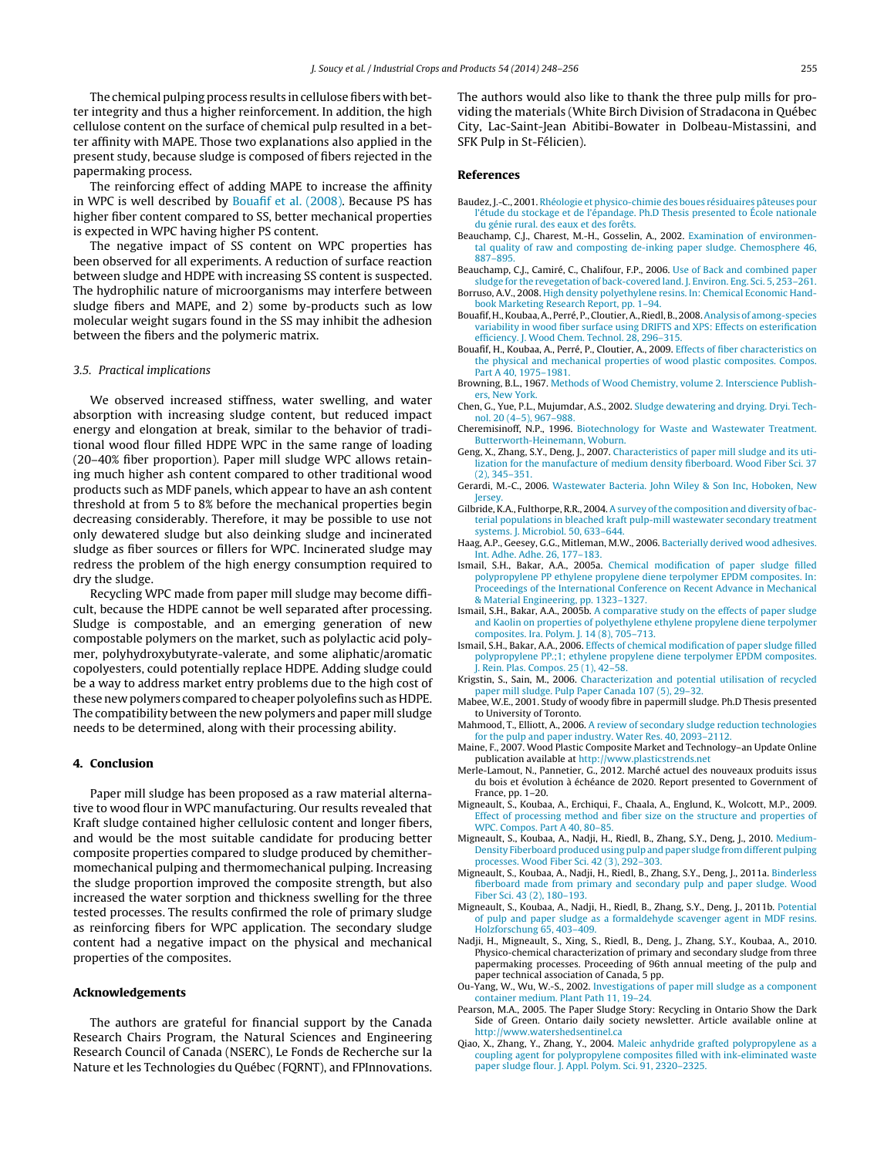<span id="page-7-0"></span>The chemical pulping process results in cellulose fibers with better integrity and thus a higher reinforcement. In addition, the high cellulose content on the surface of chemical pulp resulted in a better affinity with MAPE. Those two explanations also applied in the present study, because sludge is composed of fibers rejected in the papermaking process.

The reinforcing effect of adding MAPE to increase the affinity in WPC is well described by Bouafif et al. (2008). Because PS has higher fiber content compared to SS, better mechanical properties is expected in WPC having higher PS content.

The negative impact of SS content on WPC properties has been observed for all experiments. A reduction of surface reaction between sludge and HDPE with increasing SS content is suspected. The hydrophilic nature of microorganisms may interfere between sludge fibers and MAPE, and 2) some by-products such as low molecular weight sugars found in the SS may inhibit the adhesion between the fibers and the polymeric matrix.

## 3.5. Practical implications

We observed increased stiffness, water swelling, and water absorption with increasing sludge content, but reduced impact energy and elongation at break, similar to the behavior of traditional wood flour filled HDPE WPC in the same range of loading (20–40% fiber proportion). Paper mill sludge WPC allows retaining much higher ash content compared to other traditional wood products such as MDF panels, which appear to have an ash content threshold at from 5 to 8% before the mechanical properties begin decreasing considerably. Therefore, it may be possible to use not only dewatered sludge but also deinking sludge and incinerated sludge as fiber sources or fillers for WPC. Incinerated sludge may redress the problem of the high energy consumption required to dry the sludge.

Recycling WPC made from paper mill sludge may become difficult, because the HDPE cannot be well separated after processing. Sludge is compostable, and an emerging generation of new compostable polymers on the market, such as polylactic acid polymer, polyhydroxybutyrate-valerate, and some aliphatic/aromatic copolyesters, could potentially replace HDPE. Adding sludge could be a way to address market entry problems due to the high cost of these new polymers compared to cheaper polyolefins such as HDPE. The compatibility between the new polymers and paper mill sludge needs to be determined, along with their processing ability.

## **4. Conclusion**

Paper mill sludge has been proposed as a raw material alternative to wood flour in WPC manufacturing. Our results revealed that Kraft sludge contained higher cellulosic content and longer fibers, and would be the most suitable candidate for producing better composite properties compared to sludge produced by chemithermomechanical pulping and thermomechanical pulping. Increasing the sludge proportion improved the composite strength, but also increased the water sorption and thickness swelling for the three tested processes. The results confirmed the role of primary sludge as reinforcing fibers for WPC application. The secondary sludge content had a negative impact on the physical and mechanical properties of the composites.

## **Acknowledgements**

The authors are grateful for financial support by the Canada Research Chairs Program, the Natural Sciences and Engineering Research Council of Canada (NSERC), Le Fonds de Recherche sur la Nature et les Technologies du Québec (FQRNT), and FPInnovations.

The authors would also like to thank the three pulp mills for providing the materials (White Birch Division of Stradacona in Québec City, Lac-Saint-Jean Abitibi-Bowater in Dolbeau-Mistassini, and SFK Pulp in St-Félicien).

## **References**

- Baudez, J.-C., 2001. [Rhéologie](http://refhub.elsevier.com/S0926-6690(14)00020-X/sbref0005) [et](http://refhub.elsevier.com/S0926-6690(14)00020-X/sbref0005) [physico-chimie](http://refhub.elsevier.com/S0926-6690(14)00020-X/sbref0005) [des](http://refhub.elsevier.com/S0926-6690(14)00020-X/sbref0005) [boues](http://refhub.elsevier.com/S0926-6690(14)00020-X/sbref0005) [résiduaires](http://refhub.elsevier.com/S0926-6690(14)00020-X/sbref0005) [pâteuses](http://refhub.elsevier.com/S0926-6690(14)00020-X/sbref0005) [pour](http://refhub.elsevier.com/S0926-6690(14)00020-X/sbref0005) [l'étude](http://refhub.elsevier.com/S0926-6690(14)00020-X/sbref0005) [du](http://refhub.elsevier.com/S0926-6690(14)00020-X/sbref0005) [stockage](http://refhub.elsevier.com/S0926-6690(14)00020-X/sbref0005) [et](http://refhub.elsevier.com/S0926-6690(14)00020-X/sbref0005) [de](http://refhub.elsevier.com/S0926-6690(14)00020-X/sbref0005) [l'épandage.](http://refhub.elsevier.com/S0926-6690(14)00020-X/sbref0005) [Ph.D](http://refhub.elsevier.com/S0926-6690(14)00020-X/sbref0005) [Thesis](http://refhub.elsevier.com/S0926-6690(14)00020-X/sbref0005) [presented](http://refhub.elsevier.com/S0926-6690(14)00020-X/sbref0005) [to](http://refhub.elsevier.com/S0926-6690(14)00020-X/sbref0005) [École](http://refhub.elsevier.com/S0926-6690(14)00020-X/sbref0005) [nationale](http://refhub.elsevier.com/S0926-6690(14)00020-X/sbref0005) [du](http://refhub.elsevier.com/S0926-6690(14)00020-X/sbref0005) [génie](http://refhub.elsevier.com/S0926-6690(14)00020-X/sbref0005) [rural.](http://refhub.elsevier.com/S0926-6690(14)00020-X/sbref0005) [des](http://refhub.elsevier.com/S0926-6690(14)00020-X/sbref0005) [eaux](http://refhub.elsevier.com/S0926-6690(14)00020-X/sbref0005) [et](http://refhub.elsevier.com/S0926-6690(14)00020-X/sbref0005) [des](http://refhub.elsevier.com/S0926-6690(14)00020-X/sbref0005) [forêts.](http://refhub.elsevier.com/S0926-6690(14)00020-X/sbref0005)
- Beauchamp, C.J., Charest, M.-H., Gosselin, A., 2002. [Examination](http://refhub.elsevier.com/S0926-6690(14)00020-X/sbref0010) [of](http://refhub.elsevier.com/S0926-6690(14)00020-X/sbref0010) [environmen](http://refhub.elsevier.com/S0926-6690(14)00020-X/sbref0010)[tal](http://refhub.elsevier.com/S0926-6690(14)00020-X/sbref0010) [quality](http://refhub.elsevier.com/S0926-6690(14)00020-X/sbref0010) [of](http://refhub.elsevier.com/S0926-6690(14)00020-X/sbref0010) [raw](http://refhub.elsevier.com/S0926-6690(14)00020-X/sbref0010) [and](http://refhub.elsevier.com/S0926-6690(14)00020-X/sbref0010) [composting](http://refhub.elsevier.com/S0926-6690(14)00020-X/sbref0010) [de-inking](http://refhub.elsevier.com/S0926-6690(14)00020-X/sbref0010) [paper](http://refhub.elsevier.com/S0926-6690(14)00020-X/sbref0010) [sludge.](http://refhub.elsevier.com/S0926-6690(14)00020-X/sbref0010) [Chemosphere](http://refhub.elsevier.com/S0926-6690(14)00020-X/sbref0010) [46,](http://refhub.elsevier.com/S0926-6690(14)00020-X/sbref0010) [887–895.](http://refhub.elsevier.com/S0926-6690(14)00020-X/sbref0010)
- Beauchamp, C.J., Camiré, C., Chalifour, F.P., 2006. [Use](http://refhub.elsevier.com/S0926-6690(14)00020-X/sbref0015) [of](http://refhub.elsevier.com/S0926-6690(14)00020-X/sbref0015) [Back](http://refhub.elsevier.com/S0926-6690(14)00020-X/sbref0015) [and](http://refhub.elsevier.com/S0926-6690(14)00020-X/sbref0015) [combined](http://refhub.elsevier.com/S0926-6690(14)00020-X/sbref0015) [paper](http://refhub.elsevier.com/S0926-6690(14)00020-X/sbref0015) [sludge](http://refhub.elsevier.com/S0926-6690(14)00020-X/sbref0015) [for](http://refhub.elsevier.com/S0926-6690(14)00020-X/sbref0015) [the](http://refhub.elsevier.com/S0926-6690(14)00020-X/sbref0015) [revegetation](http://refhub.elsevier.com/S0926-6690(14)00020-X/sbref0015) [of](http://refhub.elsevier.com/S0926-6690(14)00020-X/sbref0015) [back-covered](http://refhub.elsevier.com/S0926-6690(14)00020-X/sbref0015) [land.](http://refhub.elsevier.com/S0926-6690(14)00020-X/sbref0015) [J.](http://refhub.elsevier.com/S0926-6690(14)00020-X/sbref0015) [Environ.](http://refhub.elsevier.com/S0926-6690(14)00020-X/sbref0015) [Eng.](http://refhub.elsevier.com/S0926-6690(14)00020-X/sbref0015) [Sci.](http://refhub.elsevier.com/S0926-6690(14)00020-X/sbref0015) [5,](http://refhub.elsevier.com/S0926-6690(14)00020-X/sbref0015) [253–261.](http://refhub.elsevier.com/S0926-6690(14)00020-X/sbref0015)
- Borruso, A.V., 2008. [High](http://refhub.elsevier.com/S0926-6690(14)00020-X/sbref0025) [density](http://refhub.elsevier.com/S0926-6690(14)00020-X/sbref0025) [polyethylene](http://refhub.elsevier.com/S0926-6690(14)00020-X/sbref0025) [resins.](http://refhub.elsevier.com/S0926-6690(14)00020-X/sbref0025) [In:](http://refhub.elsevier.com/S0926-6690(14)00020-X/sbref0025) [Chemical](http://refhub.elsevier.com/S0926-6690(14)00020-X/sbref0025) [Economic](http://refhub.elsevier.com/S0926-6690(14)00020-X/sbref0025) [Hand](http://refhub.elsevier.com/S0926-6690(14)00020-X/sbref0025)[book](http://refhub.elsevier.com/S0926-6690(14)00020-X/sbref0025) [Marketing](http://refhub.elsevier.com/S0926-6690(14)00020-X/sbref0025) [Research](http://refhub.elsevier.com/S0926-6690(14)00020-X/sbref0025) [Report,](http://refhub.elsevier.com/S0926-6690(14)00020-X/sbref0025) [pp.](http://refhub.elsevier.com/S0926-6690(14)00020-X/sbref0025) [1–94.](http://refhub.elsevier.com/S0926-6690(14)00020-X/sbref0025)
- Bouafif,H.,Koubaa,A., Perré, P.,Cloutier,A.,Riedl,B., 2008.[Analysis](http://refhub.elsevier.com/S0926-6690(14)00020-X/sbref0030) [of](http://refhub.elsevier.com/S0926-6690(14)00020-X/sbref0030) [among-species](http://refhub.elsevier.com/S0926-6690(14)00020-X/sbref0030) [variability](http://refhub.elsevier.com/S0926-6690(14)00020-X/sbref0030) [in](http://refhub.elsevier.com/S0926-6690(14)00020-X/sbref0030) [wood](http://refhub.elsevier.com/S0926-6690(14)00020-X/sbref0030) [fiber](http://refhub.elsevier.com/S0926-6690(14)00020-X/sbref0030) [surface](http://refhub.elsevier.com/S0926-6690(14)00020-X/sbref0030) [using](http://refhub.elsevier.com/S0926-6690(14)00020-X/sbref0030) [DRIFTS](http://refhub.elsevier.com/S0926-6690(14)00020-X/sbref0030) [and](http://refhub.elsevier.com/S0926-6690(14)00020-X/sbref0030) [XPS:](http://refhub.elsevier.com/S0926-6690(14)00020-X/sbref0030) [Effects](http://refhub.elsevier.com/S0926-6690(14)00020-X/sbref0030) [on](http://refhub.elsevier.com/S0926-6690(14)00020-X/sbref0030) [esterification](http://refhub.elsevier.com/S0926-6690(14)00020-X/sbref0030) [efficiency.](http://refhub.elsevier.com/S0926-6690(14)00020-X/sbref0030) [J.](http://refhub.elsevier.com/S0926-6690(14)00020-X/sbref0030) [Wood](http://refhub.elsevier.com/S0926-6690(14)00020-X/sbref0030) [Chem.](http://refhub.elsevier.com/S0926-6690(14)00020-X/sbref0030) [Technol.](http://refhub.elsevier.com/S0926-6690(14)00020-X/sbref0030) [28,](http://refhub.elsevier.com/S0926-6690(14)00020-X/sbref0030) [296–315.](http://refhub.elsevier.com/S0926-6690(14)00020-X/sbref0030)
- Bouafif, H., Koubaa, A., Perré, P., Cloutier, A., 2009. [Effects](http://refhub.elsevier.com/S0926-6690(14)00020-X/sbref0035) [of](http://refhub.elsevier.com/S0926-6690(14)00020-X/sbref0035) [fiber](http://refhub.elsevier.com/S0926-6690(14)00020-X/sbref0035) [characteristics](http://refhub.elsevier.com/S0926-6690(14)00020-X/sbref0035) [on](http://refhub.elsevier.com/S0926-6690(14)00020-X/sbref0035) [the](http://refhub.elsevier.com/S0926-6690(14)00020-X/sbref0035) [physical](http://refhub.elsevier.com/S0926-6690(14)00020-X/sbref0035) [and](http://refhub.elsevier.com/S0926-6690(14)00020-X/sbref0035) [mechanical](http://refhub.elsevier.com/S0926-6690(14)00020-X/sbref0035) [properties](http://refhub.elsevier.com/S0926-6690(14)00020-X/sbref0035) [of](http://refhub.elsevier.com/S0926-6690(14)00020-X/sbref0035) [wood](http://refhub.elsevier.com/S0926-6690(14)00020-X/sbref0035) [plastic](http://refhub.elsevier.com/S0926-6690(14)00020-X/sbref0035) [composites.](http://refhub.elsevier.com/S0926-6690(14)00020-X/sbref0035) [Compos.](http://refhub.elsevier.com/S0926-6690(14)00020-X/sbref0035) [Part](http://refhub.elsevier.com/S0926-6690(14)00020-X/sbref0035) [A](http://refhub.elsevier.com/S0926-6690(14)00020-X/sbref0035) [40,](http://refhub.elsevier.com/S0926-6690(14)00020-X/sbref0035) [1975–1981.](http://refhub.elsevier.com/S0926-6690(14)00020-X/sbref0035)
- Browning, B.L., 1967. [Methods](http://refhub.elsevier.com/S0926-6690(14)00020-X/sbref0040) [of](http://refhub.elsevier.com/S0926-6690(14)00020-X/sbref0040) [Wood](http://refhub.elsevier.com/S0926-6690(14)00020-X/sbref0040) [Chemistry,](http://refhub.elsevier.com/S0926-6690(14)00020-X/sbref0040) [volume](http://refhub.elsevier.com/S0926-6690(14)00020-X/sbref0040) [2.](http://refhub.elsevier.com/S0926-6690(14)00020-X/sbref0040) [Interscience](http://refhub.elsevier.com/S0926-6690(14)00020-X/sbref0040) [Publish](http://refhub.elsevier.com/S0926-6690(14)00020-X/sbref0040)[ers,](http://refhub.elsevier.com/S0926-6690(14)00020-X/sbref0040) [New](http://refhub.elsevier.com/S0926-6690(14)00020-X/sbref0040) [York.](http://refhub.elsevier.com/S0926-6690(14)00020-X/sbref0040)
- Chen, G., Yue, P.L., Mujumdar, A.S., 2002. [Sludge](http://refhub.elsevier.com/S0926-6690(14)00020-X/sbref0045) [dewatering](http://refhub.elsevier.com/S0926-6690(14)00020-X/sbref0045) [and](http://refhub.elsevier.com/S0926-6690(14)00020-X/sbref0045) [drying.](http://refhub.elsevier.com/S0926-6690(14)00020-X/sbref0045) [Dryi.](http://refhub.elsevier.com/S0926-6690(14)00020-X/sbref0045) [Tech](http://refhub.elsevier.com/S0926-6690(14)00020-X/sbref0045)[nol.](http://refhub.elsevier.com/S0926-6690(14)00020-X/sbref0045) [20](http://refhub.elsevier.com/S0926-6690(14)00020-X/sbref0045) [\(4–5\),](http://refhub.elsevier.com/S0926-6690(14)00020-X/sbref0045) [967–988.](http://refhub.elsevier.com/S0926-6690(14)00020-X/sbref0045)
- Cheremisinoff, N.P., 1996. [Biotechnology](http://refhub.elsevier.com/S0926-6690(14)00020-X/sbref0050) [for](http://refhub.elsevier.com/S0926-6690(14)00020-X/sbref0050) [Waste](http://refhub.elsevier.com/S0926-6690(14)00020-X/sbref0050) [and](http://refhub.elsevier.com/S0926-6690(14)00020-X/sbref0050) [Wastewater](http://refhub.elsevier.com/S0926-6690(14)00020-X/sbref0050) [Treatment.](http://refhub.elsevier.com/S0926-6690(14)00020-X/sbref0050) [Butterworth-Heinemann,](http://refhub.elsevier.com/S0926-6690(14)00020-X/sbref0050) [Woburn.](http://refhub.elsevier.com/S0926-6690(14)00020-X/sbref0050)
- Geng, X., Zhang, S.Y., Deng, J., 2007. [Characteristics](http://refhub.elsevier.com/S0926-6690(14)00020-X/sbref0065) [of](http://refhub.elsevier.com/S0926-6690(14)00020-X/sbref0065) [paper](http://refhub.elsevier.com/S0926-6690(14)00020-X/sbref0065) [mill](http://refhub.elsevier.com/S0926-6690(14)00020-X/sbref0065) [sludge](http://refhub.elsevier.com/S0926-6690(14)00020-X/sbref0065) [and](http://refhub.elsevier.com/S0926-6690(14)00020-X/sbref0065) [its](http://refhub.elsevier.com/S0926-6690(14)00020-X/sbref0065) [uti](http://refhub.elsevier.com/S0926-6690(14)00020-X/sbref0065)[lization](http://refhub.elsevier.com/S0926-6690(14)00020-X/sbref0065) [for](http://refhub.elsevier.com/S0926-6690(14)00020-X/sbref0065) [the](http://refhub.elsevier.com/S0926-6690(14)00020-X/sbref0065) [manufacture](http://refhub.elsevier.com/S0926-6690(14)00020-X/sbref0065) [of](http://refhub.elsevier.com/S0926-6690(14)00020-X/sbref0065) [medium](http://refhub.elsevier.com/S0926-6690(14)00020-X/sbref0065) [density](http://refhub.elsevier.com/S0926-6690(14)00020-X/sbref0065) [fiberboard.](http://refhub.elsevier.com/S0926-6690(14)00020-X/sbref0065) [Wood](http://refhub.elsevier.com/S0926-6690(14)00020-X/sbref0065) [Fiber](http://refhub.elsevier.com/S0926-6690(14)00020-X/sbref0065) [Sci.](http://refhub.elsevier.com/S0926-6690(14)00020-X/sbref0065) [37](http://refhub.elsevier.com/S0926-6690(14)00020-X/sbref0065)  $(2)$ , [345](http://refhub.elsevier.com/S0926-6690(14)00020-X/sbref0065)–[351.](http://refhub.elsevier.com/S0926-6690(14)00020-X/sbref0065)
- Gerardi, M.-C., 2006. [Wastewater](http://refhub.elsevier.com/S0926-6690(14)00020-X/sbref0070) [Bacteria.](http://refhub.elsevier.com/S0926-6690(14)00020-X/sbref0070) [John](http://refhub.elsevier.com/S0926-6690(14)00020-X/sbref0070) [Wiley](http://refhub.elsevier.com/S0926-6690(14)00020-X/sbref0070) [&](http://refhub.elsevier.com/S0926-6690(14)00020-X/sbref0070) [Son](http://refhub.elsevier.com/S0926-6690(14)00020-X/sbref0070) [Inc,](http://refhub.elsevier.com/S0926-6690(14)00020-X/sbref0070) [Hoboken,](http://refhub.elsevier.com/S0926-6690(14)00020-X/sbref0070) [New](http://refhub.elsevier.com/S0926-6690(14)00020-X/sbref0070) [Jersey.](http://refhub.elsevier.com/S0926-6690(14)00020-X/sbref0070)
- Gilbride, K.[A](http://refhub.elsevier.com/S0926-6690(14)00020-X/sbref0075)., Fulthorpe, R.R., 2004. A [survey](http://refhub.elsevier.com/S0926-6690(14)00020-X/sbref0075) of the [composition](http://refhub.elsevier.com/S0926-6690(14)00020-X/sbref0075) [and](http://refhub.elsevier.com/S0926-6690(14)00020-X/sbref0075) [diversity](http://refhub.elsevier.com/S0926-6690(14)00020-X/sbref0075) [of](http://refhub.elsevier.com/S0926-6690(14)00020-X/sbref0075) [bac](http://refhub.elsevier.com/S0926-6690(14)00020-X/sbref0075)[terial](http://refhub.elsevier.com/S0926-6690(14)00020-X/sbref0075) [populations](http://refhub.elsevier.com/S0926-6690(14)00020-X/sbref0075) [in](http://refhub.elsevier.com/S0926-6690(14)00020-X/sbref0075) [bleached](http://refhub.elsevier.com/S0926-6690(14)00020-X/sbref0075) [kraft](http://refhub.elsevier.com/S0926-6690(14)00020-X/sbref0075) [pulp-mill](http://refhub.elsevier.com/S0926-6690(14)00020-X/sbref0075) [wastewater](http://refhub.elsevier.com/S0926-6690(14)00020-X/sbref0075) [secondary](http://refhub.elsevier.com/S0926-6690(14)00020-X/sbref0075) [treatment](http://refhub.elsevier.com/S0926-6690(14)00020-X/sbref0075) [systems.](http://refhub.elsevier.com/S0926-6690(14)00020-X/sbref0075) [J.](http://refhub.elsevier.com/S0926-6690(14)00020-X/sbref0075) [Microbiol.](http://refhub.elsevier.com/S0926-6690(14)00020-X/sbref0075) [50,](http://refhub.elsevier.com/S0926-6690(14)00020-X/sbref0075) [633–644.](http://refhub.elsevier.com/S0926-6690(14)00020-X/sbref0075)
- Haag, A.P., Geesey, G.G., Mitleman, M.W., 2006. [Bacterially](http://refhub.elsevier.com/S0926-6690(14)00020-X/sbref0085) [derived](http://refhub.elsevier.com/S0926-6690(14)00020-X/sbref0085) [wood](http://refhub.elsevier.com/S0926-6690(14)00020-X/sbref0085) [adhesives.](http://refhub.elsevier.com/S0926-6690(14)00020-X/sbref0085) [Int.](http://refhub.elsevier.com/S0926-6690(14)00020-X/sbref0085) [Adhe.](http://refhub.elsevier.com/S0926-6690(14)00020-X/sbref0085) [Adhe.](http://refhub.elsevier.com/S0926-6690(14)00020-X/sbref0085) [26,](http://refhub.elsevier.com/S0926-6690(14)00020-X/sbref0085) [177](http://refhub.elsevier.com/S0926-6690(14)00020-X/sbref0085)–[183.](http://refhub.elsevier.com/S0926-6690(14)00020-X/sbref0085)
- Ismail, S.H., Bakar, A.A., 2005a. [Chemical](http://refhub.elsevier.com/S0926-6690(14)00020-X/sbref0095) [modification](http://refhub.elsevier.com/S0926-6690(14)00020-X/sbref0095) [of](http://refhub.elsevier.com/S0926-6690(14)00020-X/sbref0095) [paper](http://refhub.elsevier.com/S0926-6690(14)00020-X/sbref0095) [sludge](http://refhub.elsevier.com/S0926-6690(14)00020-X/sbref0095) [filled](http://refhub.elsevier.com/S0926-6690(14)00020-X/sbref0095) [polypropylene](http://refhub.elsevier.com/S0926-6690(14)00020-X/sbref0095) [PP](http://refhub.elsevier.com/S0926-6690(14)00020-X/sbref0095) [ethylene](http://refhub.elsevier.com/S0926-6690(14)00020-X/sbref0095) [propylene](http://refhub.elsevier.com/S0926-6690(14)00020-X/sbref0095) [diene](http://refhub.elsevier.com/S0926-6690(14)00020-X/sbref0095) [terpolymer](http://refhub.elsevier.com/S0926-6690(14)00020-X/sbref0095) [EPDM](http://refhub.elsevier.com/S0926-6690(14)00020-X/sbref0095) [composites.](http://refhub.elsevier.com/S0926-6690(14)00020-X/sbref0095) [In:](http://refhub.elsevier.com/S0926-6690(14)00020-X/sbref0095) [Proceedings](http://refhub.elsevier.com/S0926-6690(14)00020-X/sbref0095) [of](http://refhub.elsevier.com/S0926-6690(14)00020-X/sbref0095) [the](http://refhub.elsevier.com/S0926-6690(14)00020-X/sbref0095) [International](http://refhub.elsevier.com/S0926-6690(14)00020-X/sbref0095) [Conference](http://refhub.elsevier.com/S0926-6690(14)00020-X/sbref0095) [on](http://refhub.elsevier.com/S0926-6690(14)00020-X/sbref0095) [Recent](http://refhub.elsevier.com/S0926-6690(14)00020-X/sbref0095) [Advance](http://refhub.elsevier.com/S0926-6690(14)00020-X/sbref0095) [in](http://refhub.elsevier.com/S0926-6690(14)00020-X/sbref0095) [Mechanical](http://refhub.elsevier.com/S0926-6690(14)00020-X/sbref0095) [&](http://refhub.elsevier.com/S0926-6690(14)00020-X/sbref0095) [Material](http://refhub.elsevier.com/S0926-6690(14)00020-X/sbref0095) [Engineering,](http://refhub.elsevier.com/S0926-6690(14)00020-X/sbref0095) [pp.](http://refhub.elsevier.com/S0926-6690(14)00020-X/sbref0095) [1323](http://refhub.elsevier.com/S0926-6690(14)00020-X/sbref0095)–[1327.](http://refhub.elsevier.com/S0926-6690(14)00020-X/sbref0095)
- Ismail, S.H., Bakar, A.A., 2005b. [A](http://refhub.elsevier.com/S0926-6690(14)00020-X/sbref0100) [comparative](http://refhub.elsevier.com/S0926-6690(14)00020-X/sbref0100) [study](http://refhub.elsevier.com/S0926-6690(14)00020-X/sbref0100) [on](http://refhub.elsevier.com/S0926-6690(14)00020-X/sbref0100) [the](http://refhub.elsevier.com/S0926-6690(14)00020-X/sbref0100) [effects](http://refhub.elsevier.com/S0926-6690(14)00020-X/sbref0100) [of](http://refhub.elsevier.com/S0926-6690(14)00020-X/sbref0100) [paper](http://refhub.elsevier.com/S0926-6690(14)00020-X/sbref0100) [sludge](http://refhub.elsevier.com/S0926-6690(14)00020-X/sbref0100) [and](http://refhub.elsevier.com/S0926-6690(14)00020-X/sbref0100) [Kaolin](http://refhub.elsevier.com/S0926-6690(14)00020-X/sbref0100) [on](http://refhub.elsevier.com/S0926-6690(14)00020-X/sbref0100) [properties](http://refhub.elsevier.com/S0926-6690(14)00020-X/sbref0100) [of](http://refhub.elsevier.com/S0926-6690(14)00020-X/sbref0100) [polyethylene](http://refhub.elsevier.com/S0926-6690(14)00020-X/sbref0100) [ethylene](http://refhub.elsevier.com/S0926-6690(14)00020-X/sbref0100) [propylene](http://refhub.elsevier.com/S0926-6690(14)00020-X/sbref0100) [diene](http://refhub.elsevier.com/S0926-6690(14)00020-X/sbref0100) [terpolymer](http://refhub.elsevier.com/S0926-6690(14)00020-X/sbref0100) [composites.](http://refhub.elsevier.com/S0926-6690(14)00020-X/sbref0100) [Ira.](http://refhub.elsevier.com/S0926-6690(14)00020-X/sbref0100) [Polym.](http://refhub.elsevier.com/S0926-6690(14)00020-X/sbref0100) [J.](http://refhub.elsevier.com/S0926-6690(14)00020-X/sbref0100) [14](http://refhub.elsevier.com/S0926-6690(14)00020-X/sbref0100) [\(8\),](http://refhub.elsevier.com/S0926-6690(14)00020-X/sbref0100) [705](http://refhub.elsevier.com/S0926-6690(14)00020-X/sbref0100)–[713.](http://refhub.elsevier.com/S0926-6690(14)00020-X/sbref0100)
- Ismail, S.H., Bakar, A.A., 2006. [Effects](http://refhub.elsevier.com/S0926-6690(14)00020-X/sbref0105) [of](http://refhub.elsevier.com/S0926-6690(14)00020-X/sbref0105) [chemical](http://refhub.elsevier.com/S0926-6690(14)00020-X/sbref0105) [modification](http://refhub.elsevier.com/S0926-6690(14)00020-X/sbref0105) [of](http://refhub.elsevier.com/S0926-6690(14)00020-X/sbref0105) [paper](http://refhub.elsevier.com/S0926-6690(14)00020-X/sbref0105) [sludge](http://refhub.elsevier.com/S0926-6690(14)00020-X/sbref0105) [filled](http://refhub.elsevier.com/S0926-6690(14)00020-X/sbref0105) [polypropylene](http://refhub.elsevier.com/S0926-6690(14)00020-X/sbref0105) [PP.;1;](http://refhub.elsevier.com/S0926-6690(14)00020-X/sbref0105) [ethylene](http://refhub.elsevier.com/S0926-6690(14)00020-X/sbref0105) [propylene](http://refhub.elsevier.com/S0926-6690(14)00020-X/sbref0105) [diene](http://refhub.elsevier.com/S0926-6690(14)00020-X/sbref0105) [terpolymer](http://refhub.elsevier.com/S0926-6690(14)00020-X/sbref0105) [EPDM](http://refhub.elsevier.com/S0926-6690(14)00020-X/sbref0105) [composites.](http://refhub.elsevier.com/S0926-6690(14)00020-X/sbref0105) [J.](http://refhub.elsevier.com/S0926-6690(14)00020-X/sbref0105) [Rein.](http://refhub.elsevier.com/S0926-6690(14)00020-X/sbref0105) [Plas.](http://refhub.elsevier.com/S0926-6690(14)00020-X/sbref0105) [Compos.](http://refhub.elsevier.com/S0926-6690(14)00020-X/sbref0105) [25](http://refhub.elsevier.com/S0926-6690(14)00020-X/sbref0105) [\(1\),](http://refhub.elsevier.com/S0926-6690(14)00020-X/sbref0105) [42–58.](http://refhub.elsevier.com/S0926-6690(14)00020-X/sbref0105)
- Krigstin, S., Sain, M., 2006. [Characterization](http://refhub.elsevier.com/S0926-6690(14)00020-X/sbref0110) [and](http://refhub.elsevier.com/S0926-6690(14)00020-X/sbref0110) [potential](http://refhub.elsevier.com/S0926-6690(14)00020-X/sbref0110) [utilisation](http://refhub.elsevier.com/S0926-6690(14)00020-X/sbref0110) [of](http://refhub.elsevier.com/S0926-6690(14)00020-X/sbref0110) [recycled](http://refhub.elsevier.com/S0926-6690(14)00020-X/sbref0110) [paper](http://refhub.elsevier.com/S0926-6690(14)00020-X/sbref0110) [mill](http://refhub.elsevier.com/S0926-6690(14)00020-X/sbref0110) [sludge.](http://refhub.elsevier.com/S0926-6690(14)00020-X/sbref0110) [Pulp](http://refhub.elsevier.com/S0926-6690(14)00020-X/sbref0110) [Paper](http://refhub.elsevier.com/S0926-6690(14)00020-X/sbref0110) [Canada](http://refhub.elsevier.com/S0926-6690(14)00020-X/sbref0110) [107](http://refhub.elsevier.com/S0926-6690(14)00020-X/sbref0110) [\(5\),](http://refhub.elsevier.com/S0926-6690(14)00020-X/sbref0110) [29–32.](http://refhub.elsevier.com/S0926-6690(14)00020-X/sbref0110)
- Mabee, W.E., 2001. Study of woody fibre in papermill sludge. Ph.D Thesis presented to University of Toronto.
- Mahmood, T., Elliott, A., 2006. [A](http://refhub.elsevier.com/S0926-6690(14)00020-X/sbref0120) [review](http://refhub.elsevier.com/S0926-6690(14)00020-X/sbref0120) [of](http://refhub.elsevier.com/S0926-6690(14)00020-X/sbref0120) [secondary](http://refhub.elsevier.com/S0926-6690(14)00020-X/sbref0120) [sludge](http://refhub.elsevier.com/S0926-6690(14)00020-X/sbref0120) [reduction](http://refhub.elsevier.com/S0926-6690(14)00020-X/sbref0120) [technologies](http://refhub.elsevier.com/S0926-6690(14)00020-X/sbref0120) [for](http://refhub.elsevier.com/S0926-6690(14)00020-X/sbref0120) [the](http://refhub.elsevier.com/S0926-6690(14)00020-X/sbref0120) [pulp](http://refhub.elsevier.com/S0926-6690(14)00020-X/sbref0120) [and](http://refhub.elsevier.com/S0926-6690(14)00020-X/sbref0120) [paper](http://refhub.elsevier.com/S0926-6690(14)00020-X/sbref0120) [industry.](http://refhub.elsevier.com/S0926-6690(14)00020-X/sbref0120) [Water](http://refhub.elsevier.com/S0926-6690(14)00020-X/sbref0120) [Res.](http://refhub.elsevier.com/S0926-6690(14)00020-X/sbref0120) [40,](http://refhub.elsevier.com/S0926-6690(14)00020-X/sbref0120) [2093–2112.](http://refhub.elsevier.com/S0926-6690(14)00020-X/sbref0120)
- Maine, F., 2007. Wood Plastic Composite Market and Technology–an Update Online publication available at [http://www.plasticstrends.net](http://www.plasticstrends.net/)
- Merle-Lamout, N., Pannetier, G., 2012. Marché actuel des nouveaux produits issus du bois et évolution à échéance de 2020. Report presented to Government of France, pp. 1–20.
- Migneault, S., Koubaa, A., Erchiqui, F., Chaala, A., Englund, K., Wolcott, M.P., 2009. [Effect](http://refhub.elsevier.com/S0926-6690(14)00020-X/sbref0140) [of](http://refhub.elsevier.com/S0926-6690(14)00020-X/sbref0140) [processing](http://refhub.elsevier.com/S0926-6690(14)00020-X/sbref0140) [method](http://refhub.elsevier.com/S0926-6690(14)00020-X/sbref0140) [and](http://refhub.elsevier.com/S0926-6690(14)00020-X/sbref0140) [fiber](http://refhub.elsevier.com/S0926-6690(14)00020-X/sbref0140) [size](http://refhub.elsevier.com/S0926-6690(14)00020-X/sbref0140) [on](http://refhub.elsevier.com/S0926-6690(14)00020-X/sbref0140) [the](http://refhub.elsevier.com/S0926-6690(14)00020-X/sbref0140) [structure](http://refhub.elsevier.com/S0926-6690(14)00020-X/sbref0140) [and](http://refhub.elsevier.com/S0926-6690(14)00020-X/sbref0140) [properties](http://refhub.elsevier.com/S0926-6690(14)00020-X/sbref0140) [of](http://refhub.elsevier.com/S0926-6690(14)00020-X/sbref0140) [WPC.](http://refhub.elsevier.com/S0926-6690(14)00020-X/sbref0140) [Compos.](http://refhub.elsevier.com/S0926-6690(14)00020-X/sbref0140) [Part](http://refhub.elsevier.com/S0926-6690(14)00020-X/sbref0140) [A](http://refhub.elsevier.com/S0926-6690(14)00020-X/sbref0140) [40,](http://refhub.elsevier.com/S0926-6690(14)00020-X/sbref0140) [80](http://refhub.elsevier.com/S0926-6690(14)00020-X/sbref0140)–[85.](http://refhub.elsevier.com/S0926-6690(14)00020-X/sbref0140)
- Migneault, S., Koubaa, A., Nadji, H., Riedl, B., Zhang, S.Y., Deng, J., 2010. [Medium-](http://refhub.elsevier.com/S0926-6690(14)00020-X/sbref0145)[Density](http://refhub.elsevier.com/S0926-6690(14)00020-X/sbref0145) [Fiberboard](http://refhub.elsevier.com/S0926-6690(14)00020-X/sbref0145) produced using [pulp](http://refhub.elsevier.com/S0926-6690(14)00020-X/sbref0145) [and](http://refhub.elsevier.com/S0926-6690(14)00020-X/sbref0145) [paper](http://refhub.elsevier.com/S0926-6690(14)00020-X/sbref0145) [sludge](http://refhub.elsevier.com/S0926-6690(14)00020-X/sbref0145) from different [pulping](http://refhub.elsevier.com/S0926-6690(14)00020-X/sbref0145) [processes.](http://refhub.elsevier.com/S0926-6690(14)00020-X/sbref0145) [Wood](http://refhub.elsevier.com/S0926-6690(14)00020-X/sbref0145) [Fiber](http://refhub.elsevier.com/S0926-6690(14)00020-X/sbref0145) [Sci.](http://refhub.elsevier.com/S0926-6690(14)00020-X/sbref0145) [42](http://refhub.elsevier.com/S0926-6690(14)00020-X/sbref0145) [\(3\),](http://refhub.elsevier.com/S0926-6690(14)00020-X/sbref0145) [292](http://refhub.elsevier.com/S0926-6690(14)00020-X/sbref0145)–[303.](http://refhub.elsevier.com/S0926-6690(14)00020-X/sbref0145)
- Migneault, S., Koubaa, A., Nadji, H., Riedl, B., Zhang, S.Y., Deng, J., 2011a. [Binderless](http://refhub.elsevier.com/S0926-6690(14)00020-X/sbref0150) [fiberboard](http://refhub.elsevier.com/S0926-6690(14)00020-X/sbref0150) [made](http://refhub.elsevier.com/S0926-6690(14)00020-X/sbref0150) [from](http://refhub.elsevier.com/S0926-6690(14)00020-X/sbref0150) [primary](http://refhub.elsevier.com/S0926-6690(14)00020-X/sbref0150) [and](http://refhub.elsevier.com/S0926-6690(14)00020-X/sbref0150) [secondary](http://refhub.elsevier.com/S0926-6690(14)00020-X/sbref0150) [pulp](http://refhub.elsevier.com/S0926-6690(14)00020-X/sbref0150) [and](http://refhub.elsevier.com/S0926-6690(14)00020-X/sbref0150) [paper](http://refhub.elsevier.com/S0926-6690(14)00020-X/sbref0150) [sludge.](http://refhub.elsevier.com/S0926-6690(14)00020-X/sbref0150) [Wood](http://refhub.elsevier.com/S0926-6690(14)00020-X/sbref0150) [Fiber](http://refhub.elsevier.com/S0926-6690(14)00020-X/sbref0150) [Sci.](http://refhub.elsevier.com/S0926-6690(14)00020-X/sbref0150) [43](http://refhub.elsevier.com/S0926-6690(14)00020-X/sbref0150) [\(2\),](http://refhub.elsevier.com/S0926-6690(14)00020-X/sbref0150) [180–193.](http://refhub.elsevier.com/S0926-6690(14)00020-X/sbref0150)
- Migneault, S., Koubaa, A., Nadji, H., Riedl, B., Zhang, S.Y., Deng, J., 2011b. [Potential](http://refhub.elsevier.com/S0926-6690(14)00020-X/sbref0155) [of](http://refhub.elsevier.com/S0926-6690(14)00020-X/sbref0155) [pulp](http://refhub.elsevier.com/S0926-6690(14)00020-X/sbref0155) [and](http://refhub.elsevier.com/S0926-6690(14)00020-X/sbref0155) [paper](http://refhub.elsevier.com/S0926-6690(14)00020-X/sbref0155) [sludge](http://refhub.elsevier.com/S0926-6690(14)00020-X/sbref0155) [as](http://refhub.elsevier.com/S0926-6690(14)00020-X/sbref0155) [a](http://refhub.elsevier.com/S0926-6690(14)00020-X/sbref0155) [formaldehyde](http://refhub.elsevier.com/S0926-6690(14)00020-X/sbref0155) [scavenger](http://refhub.elsevier.com/S0926-6690(14)00020-X/sbref0155) [agent](http://refhub.elsevier.com/S0926-6690(14)00020-X/sbref0155) [in](http://refhub.elsevier.com/S0926-6690(14)00020-X/sbref0155) [MDF](http://refhub.elsevier.com/S0926-6690(14)00020-X/sbref0155) [resins.](http://refhub.elsevier.com/S0926-6690(14)00020-X/sbref0155) [Holzforschung](http://refhub.elsevier.com/S0926-6690(14)00020-X/sbref0155) [65,](http://refhub.elsevier.com/S0926-6690(14)00020-X/sbref0155) [403](http://refhub.elsevier.com/S0926-6690(14)00020-X/sbref0155)–[409.](http://refhub.elsevier.com/S0926-6690(14)00020-X/sbref0155)
- Nadji, H., Migneault, S., Xing, S., Riedl, B., Deng, J., Zhang, S.Y., Koubaa, A., 2010. Physico-chemical characterization of primary and secondary sludge from three papermaking processes. Proceeding of 96th annual meeting of the pulp and paper technical association of Canada, 5 pp.
- Ou-Yang, W., Wu, W.-S., 2002. [Investigations](http://refhub.elsevier.com/S0926-6690(14)00020-X/sbref0165) [of](http://refhub.elsevier.com/S0926-6690(14)00020-X/sbref0165) [paper](http://refhub.elsevier.com/S0926-6690(14)00020-X/sbref0165) [mill](http://refhub.elsevier.com/S0926-6690(14)00020-X/sbref0165) [sludge](http://refhub.elsevier.com/S0926-6690(14)00020-X/sbref0165) [as](http://refhub.elsevier.com/S0926-6690(14)00020-X/sbref0165) [a](http://refhub.elsevier.com/S0926-6690(14)00020-X/sbref0165) [component](http://refhub.elsevier.com/S0926-6690(14)00020-X/sbref0165) [container](http://refhub.elsevier.com/S0926-6690(14)00020-X/sbref0165) [medium.](http://refhub.elsevier.com/S0926-6690(14)00020-X/sbref0165) [Plant](http://refhub.elsevier.com/S0926-6690(14)00020-X/sbref0165) [Path](http://refhub.elsevier.com/S0926-6690(14)00020-X/sbref0165) [11,](http://refhub.elsevier.com/S0926-6690(14)00020-X/sbref0165) [19](http://refhub.elsevier.com/S0926-6690(14)00020-X/sbref0165)–[24.](http://refhub.elsevier.com/S0926-6690(14)00020-X/sbref0165)
- Pearson, M.A., 2005. The Paper Sludge Story: Recycling in Ontario Show the Dark Side of Green. Ontario daily society newsletter. Article available online at [http://www.watershedsentinel.ca](http://www.watershedsentinel.ca/)
- Qiao, X., Zhang, Y., Zhang, Y., 2004. [Maleic](http://refhub.elsevier.com/S0926-6690(14)00020-X/sbref0180) [anhydride](http://refhub.elsevier.com/S0926-6690(14)00020-X/sbref0180) [grafted](http://refhub.elsevier.com/S0926-6690(14)00020-X/sbref0180) [polypropylene](http://refhub.elsevier.com/S0926-6690(14)00020-X/sbref0180) [as](http://refhub.elsevier.com/S0926-6690(14)00020-X/sbref0180) [a](http://refhub.elsevier.com/S0926-6690(14)00020-X/sbref0180) [coupling](http://refhub.elsevier.com/S0926-6690(14)00020-X/sbref0180) [agent](http://refhub.elsevier.com/S0926-6690(14)00020-X/sbref0180) [for](http://refhub.elsevier.com/S0926-6690(14)00020-X/sbref0180) [polypropylene](http://refhub.elsevier.com/S0926-6690(14)00020-X/sbref0180) [composites](http://refhub.elsevier.com/S0926-6690(14)00020-X/sbref0180) [filled](http://refhub.elsevier.com/S0926-6690(14)00020-X/sbref0180) [with](http://refhub.elsevier.com/S0926-6690(14)00020-X/sbref0180) [ink-eliminated](http://refhub.elsevier.com/S0926-6690(14)00020-X/sbref0180) [waste](http://refhub.elsevier.com/S0926-6690(14)00020-X/sbref0180) [paper](http://refhub.elsevier.com/S0926-6690(14)00020-X/sbref0180) [sludge](http://refhub.elsevier.com/S0926-6690(14)00020-X/sbref0180) [flour.](http://refhub.elsevier.com/S0926-6690(14)00020-X/sbref0180) [J.](http://refhub.elsevier.com/S0926-6690(14)00020-X/sbref0180) [Appl.](http://refhub.elsevier.com/S0926-6690(14)00020-X/sbref0180) [Polym.](http://refhub.elsevier.com/S0926-6690(14)00020-X/sbref0180) [Sci.](http://refhub.elsevier.com/S0926-6690(14)00020-X/sbref0180) [91,](http://refhub.elsevier.com/S0926-6690(14)00020-X/sbref0180) [2320–2325.](http://refhub.elsevier.com/S0926-6690(14)00020-X/sbref0180)